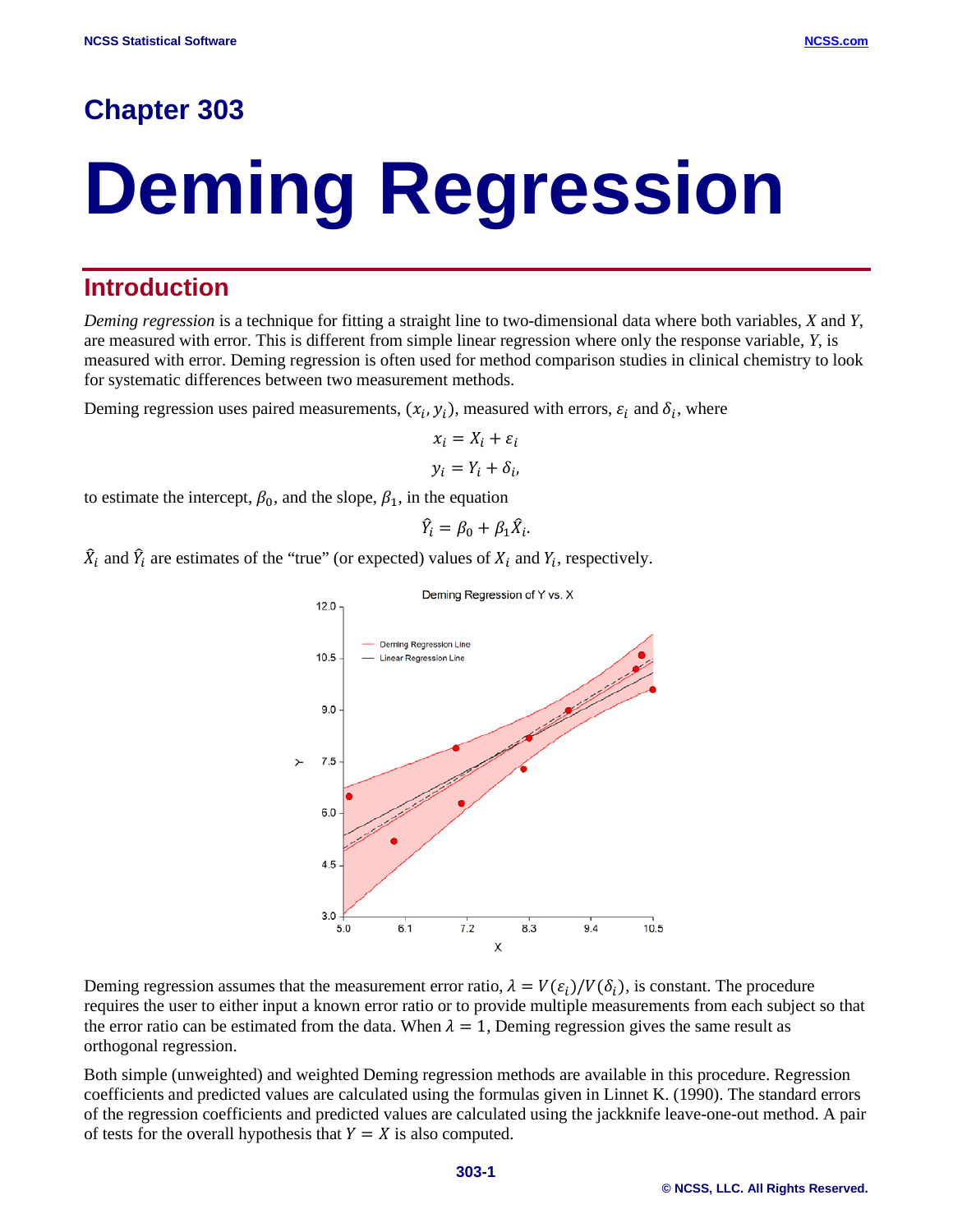# **Chapter 303**

# **Deming Regression**

## **Introduction**

*Deming regression* is a technique for fitting a straight line to two-dimensional data where both variables, *X* and *Y*, are measured with error. This is different from simple linear regression where only the response variable, *Y*, is measured with error. Deming regression is often used for method comparison studies in clinical chemistry to look for systematic differences between two measurement methods.

Deming regression uses paired measurements,  $(x_i, y_i)$ , measured with errors,  $\varepsilon_i$  and  $\delta_i$ , where

$$
x_i = X_i + \varepsilon_i
$$
  

$$
y_i = Y_i + \delta_i,
$$

to estimate the intercept,  $\beta_0$ , and the slope,  $\beta_1$ , in the equation

$$
\hat{Y}_i = \beta_0 + \beta_1 \hat{X}_i.
$$

 $\hat{X}_i$  and  $\hat{Y}_i$  are estimates of the "true" (or expected) values of  $X_i$  and  $Y_i$ , respectively.



Deming regression assumes that the measurement error ratio,  $\lambda = V(\varepsilon_i)/V(\delta_i)$ , is constant. The procedure requires the user to either input a known error ratio or to provide multiple measurements from each subject so that the error ratio can be estimated from the data. When  $\lambda = 1$ , Deming regression gives the same result as orthogonal regression.

Both simple (unweighted) and weighted Deming regression methods are available in this procedure. Regression coefficients and predicted values are calculated using the formulas given in Linnet K. (1990). The standard errors of the regression coefficients and predicted values are calculated using the jackknife leave-one-out method. A pair of tests for the overall hypothesis that  $Y = X$  is also computed.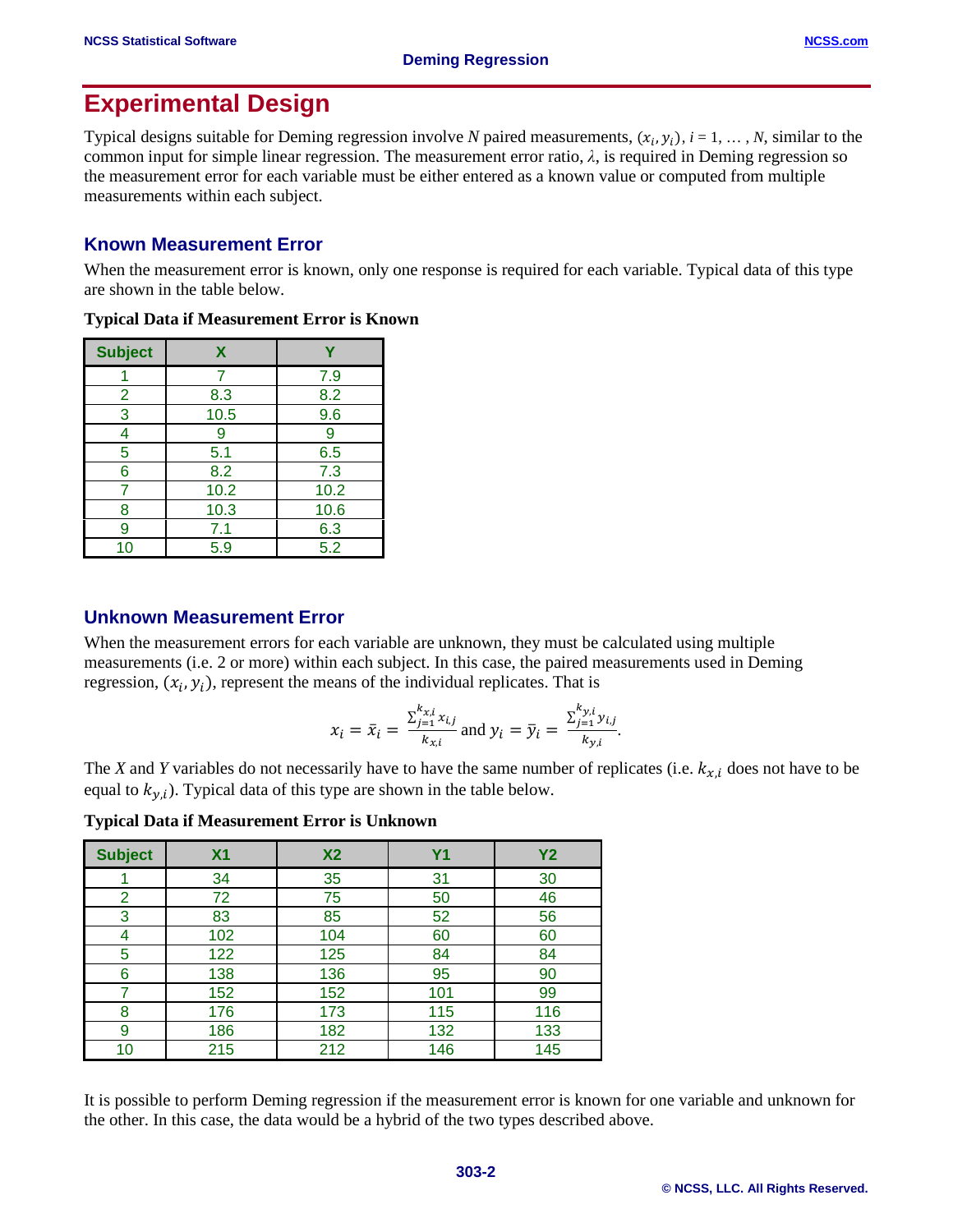# **Experimental Design**

Typical designs suitable for Deming regression involve *N* paired measurements,  $(x_i, y_i)$ ,  $i = 1, ..., N$ , similar to the common input for simple linear regression. The measurement error ratio,  $\lambda$ , is required in Deming regression so the measurement error for each variable must be either entered as a known value or computed from multiple measurements within each subject.

## **Known Measurement Error**

When the measurement error is known, only one response is required for each variable. Typical data of this type are shown in the table below.

| <b>Subject</b> | X    |      |
|----------------|------|------|
|                |      | 7.9  |
| $\overline{2}$ | 8.3  | 8.2  |
| 3              | 10.5 | 9.6  |
| 4              | 9    | 9    |
| 5              | 5.1  | 6.5  |
| 6              | 8.2  | 7.3  |
|                | 10.2 | 10.2 |
| 8              | 10.3 | 10.6 |
| 9              | 7.1  | 6.3  |
| 10             | 5.9  | 5.2  |

**Typical Data if Measurement Error is Known**

#### **Unknown Measurement Error**

When the measurement errors for each variable are unknown, they must be calculated using multiple measurements (i.e. 2 or more) within each subject. In this case, the paired measurements used in Deming regression,  $(x_i, y_i)$ , represent the means of the individual replicates. That is

$$
x_i = \bar{x}_i = \frac{\sum_{j=1}^{k_{x,i}} x_{i,j}}{k_{x,i}}
$$
 and  $y_i = \bar{y}_i = \frac{\sum_{j=1}^{k_{y,i}} y_{i,j}}{k_{y,i}}$ .

The *X* and *Y* variables do not necessarily have to have the same number of replicates (i.e.  $k_{x,i}$  does not have to be equal to  $k_{y,i}$ ). Typical data of this type are shown in the table below.

**Typical Data if Measurement Error is Unknown**

| <b>Subject</b> | X <sub>1</sub> | X <sub>2</sub> | Y <sub>1</sub> | <b>Y2</b> |
|----------------|----------------|----------------|----------------|-----------|
|                | 34             | 35             | 31             | 30        |
| $\overline{2}$ | 72             | 75             | 50             | 46        |
| 3              | 83             | 85             | 52             | 56        |
| $\overline{4}$ | 102            | 104            | 60             | 60        |
| 5              | 122            | 125            | 84             | 84        |
| 6              | 138            | 136            | 95             | 90        |
|                | 152            | 152            | 101            | 99        |
| 8              | 176            | 173            | 115            | 116       |
| 9              | 186            | 182            | 132            | 133       |
| 10             | 215            | 212            | 146            | 145       |

It is possible to perform Deming regression if the measurement error is known for one variable and unknown for the other. In this case, the data would be a hybrid of the two types described above.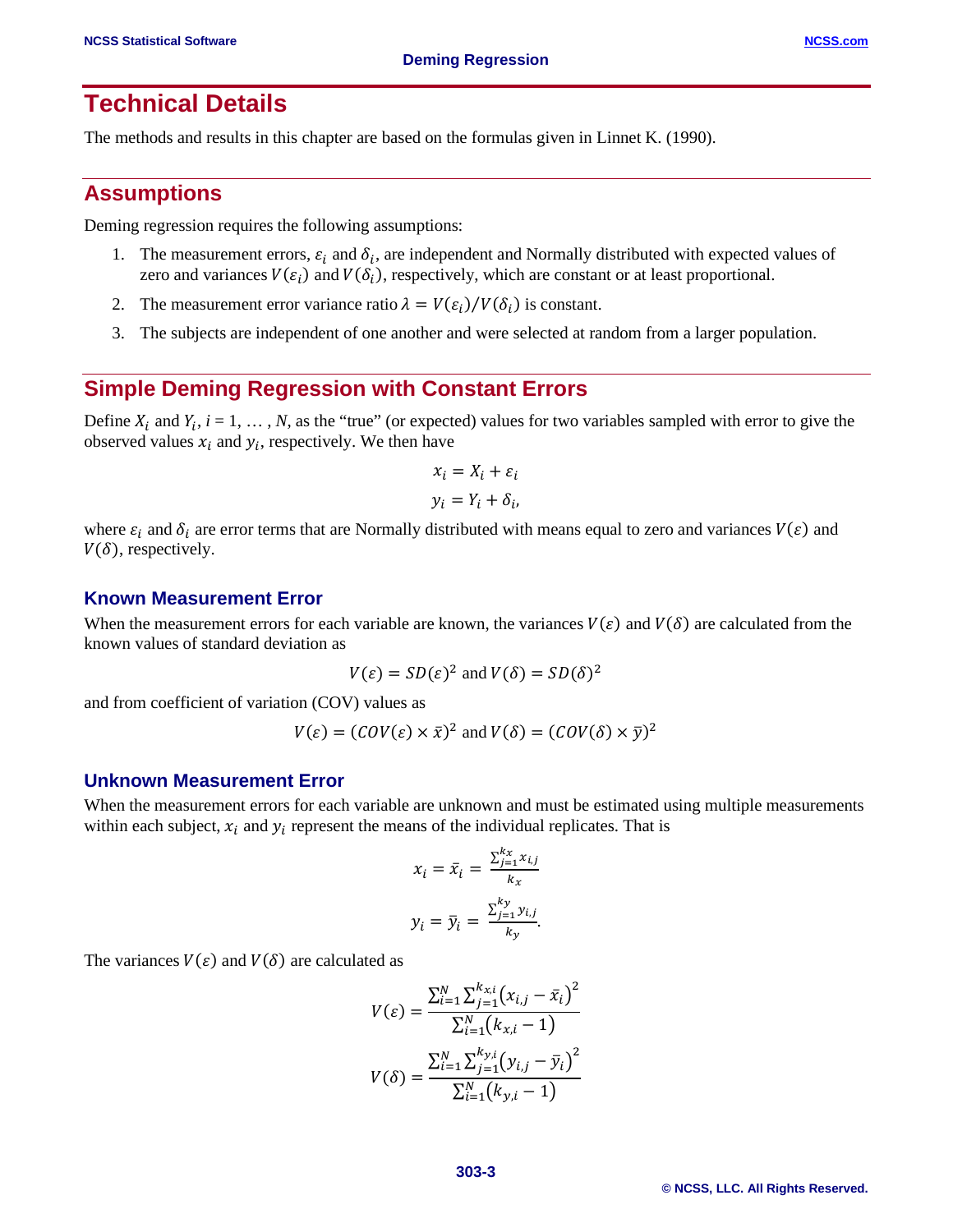## **Technical Details**

The methods and results in this chapter are based on the formulas given in Linnet K. (1990).

### **Assumptions**

Deming regression requires the following assumptions:

- 1. The measurement errors,  $\varepsilon_i$  and  $\delta_i$ , are independent and Normally distributed with expected values of zero and variances  $V(\varepsilon_i)$  and  $V(\delta_i)$ , respectively, which are constant or at least proportional.
- 2. The measurement error variance ratio  $\lambda = V(\varepsilon_i) / V(\delta_i)$  is constant.
- 3. The subjects are independent of one another and were selected at random from a larger population.

## **Simple Deming Regression with Constant Errors**

Define  $X_i$  and  $Y_i$ ,  $i = 1, ..., N$ , as the "true" (or expected) values for two variables sampled with error to give the observed values  $x_i$  and  $y_i$ , respectively. We then have

$$
x_i = X_i + \varepsilon_i
$$
  

$$
y_i = Y_i + \delta_i,
$$

where  $\varepsilon_i$  and  $\delta_i$  are error terms that are Normally distributed with means equal to zero and variances  $V(\varepsilon)$  and  $V(\delta)$ , respectively.

#### **Known Measurement Error**

When the measurement errors for each variable are known, the variances  $V(\varepsilon)$  and  $V(\delta)$  are calculated from the known values of standard deviation as

$$
V(\varepsilon) = SD(\varepsilon)^2 \text{ and } V(\delta) = SD(\delta)^2
$$

and from coefficient of variation (COV) values as

$$
V(\varepsilon) = (COV(\varepsilon) \times \bar{x})^2 \text{ and } V(\delta) = (COV(\delta) \times \bar{y})^2
$$

#### **Unknown Measurement Error**

When the measurement errors for each variable are unknown and must be estimated using multiple measurements within each subject,  $x_i$  and  $y_i$  represent the means of the individual replicates. That is

$$
x_i = \bar{x}_i = \frac{\sum_{j=1}^{k_x} x_{i,j}}{k_x}
$$

$$
y_i = \bar{y}_i = \frac{\sum_{j=1}^{k_y} y_{i,j}}{k_y}.
$$

The variances  $V(\varepsilon)$  and  $V(\delta)$  are calculated as

$$
V(\varepsilon) = \frac{\sum_{i=1}^{N} \sum_{j=1}^{k_{xi}} (x_{i,j} - \bar{x}_i)^2}{\sum_{i=1}^{N} (k_{x,i} - 1)}
$$

$$
V(\delta) = \frac{\sum_{i=1}^{N} \sum_{j=1}^{k_{yi}} (y_{i,j} - \bar{y}_i)^2}{\sum_{i=1}^{N} (k_{y,i} - 1)}
$$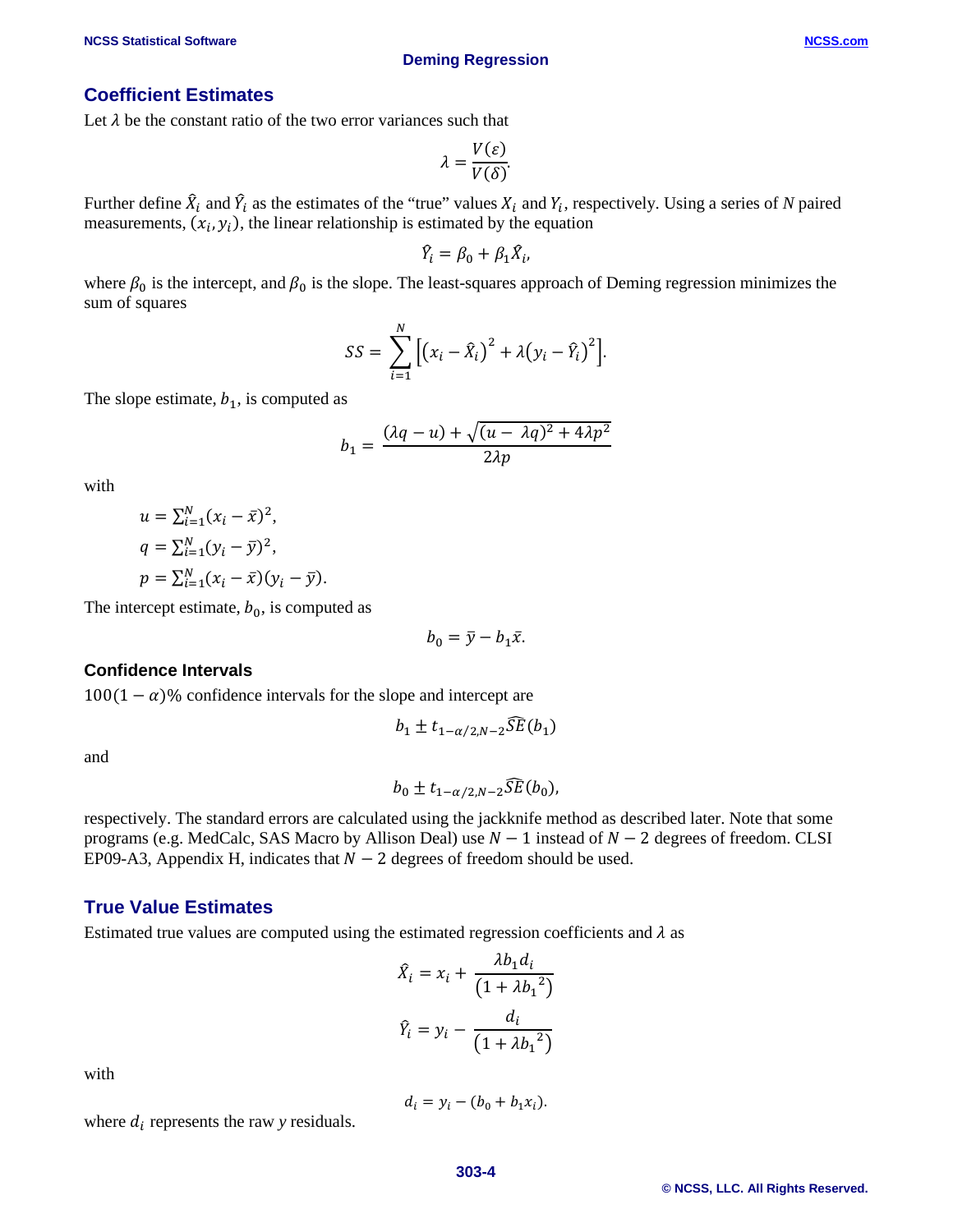#### **Coefficient Estimates**

Let  $\lambda$  be the constant ratio of the two error variances such that

$$
\lambda = \frac{V(\varepsilon)}{V(\delta)}.
$$

Further define  $\hat{X}_i$  and  $\hat{Y}_i$  as the estimates of the "true" values  $X_i$  and  $Y_i$ , respectively. Using a series of *N* paired measurements,  $(x_i, y_i)$ , the linear relationship is estimated by the equation

$$
\hat{Y}_i = \beta_0 + \beta_1 \hat{X}_i,
$$

where  $\beta_0$  is the intercept, and  $\beta_0$  is the slope. The least-squares approach of Deming regression minimizes the sum of squares

$$
SS = \sum_{i=1}^{N} [(x_i - \hat{X}_i)^2 + \lambda (y_i - \hat{Y}_i)^2].
$$

The slope estimate,  $b_1$ , is computed as

$$
b_1 = \frac{(\lambda q - u) + \sqrt{(u - \lambda q)^2 + 4\lambda p^2}}{2\lambda p}
$$

with

$$
u = \sum_{i=1}^{N} (x_i - \bar{x})^2,
$$
  
\n
$$
q = \sum_{i=1}^{N} (y_i - \bar{y})^2,
$$
  
\n
$$
p = \sum_{i=1}^{N} (x_i - \bar{x})(y_i - \bar{y}).
$$

The intercept estimate,  $b_0$ , is computed as

$$
b_0=\bar{y}-b_1\bar{x}.
$$

#### **Confidence Intervals**

 $100(1 - \alpha)$ % confidence intervals for the slope and intercept are

$$
b_1 \pm t_{1-\alpha/2,N-2} \widehat{SE}(b_1)
$$

and

$$
b_0 \pm t_{1-\alpha/2,N-2} \widehat{SE}(b_0),
$$

respectively. The standard errors are calculated using the jackknife method as described later. Note that some programs (e.g. MedCalc, SAS Macro by Allison Deal) use  $N - 1$  instead of  $N - 2$  degrees of freedom. CLSI EP09-A3, Appendix H, indicates that  $N - 2$  degrees of freedom should be used.

#### **True Value Estimates**

Estimated true values are computed using the estimated regression coefficients and  $\lambda$  as

$$
\hat{X}_i = x_i + \frac{\lambda b_1 d_i}{\left(1 + \lambda b_1^2\right)}
$$
\n
$$
\hat{Y}_i = y_i - \frac{d_i}{\left(1 + \lambda b_1^2\right)}
$$

with

$$
d_i = y_i - (b_0 + b_1 x_i).
$$

where  $d_i$  represents the raw *y* residuals.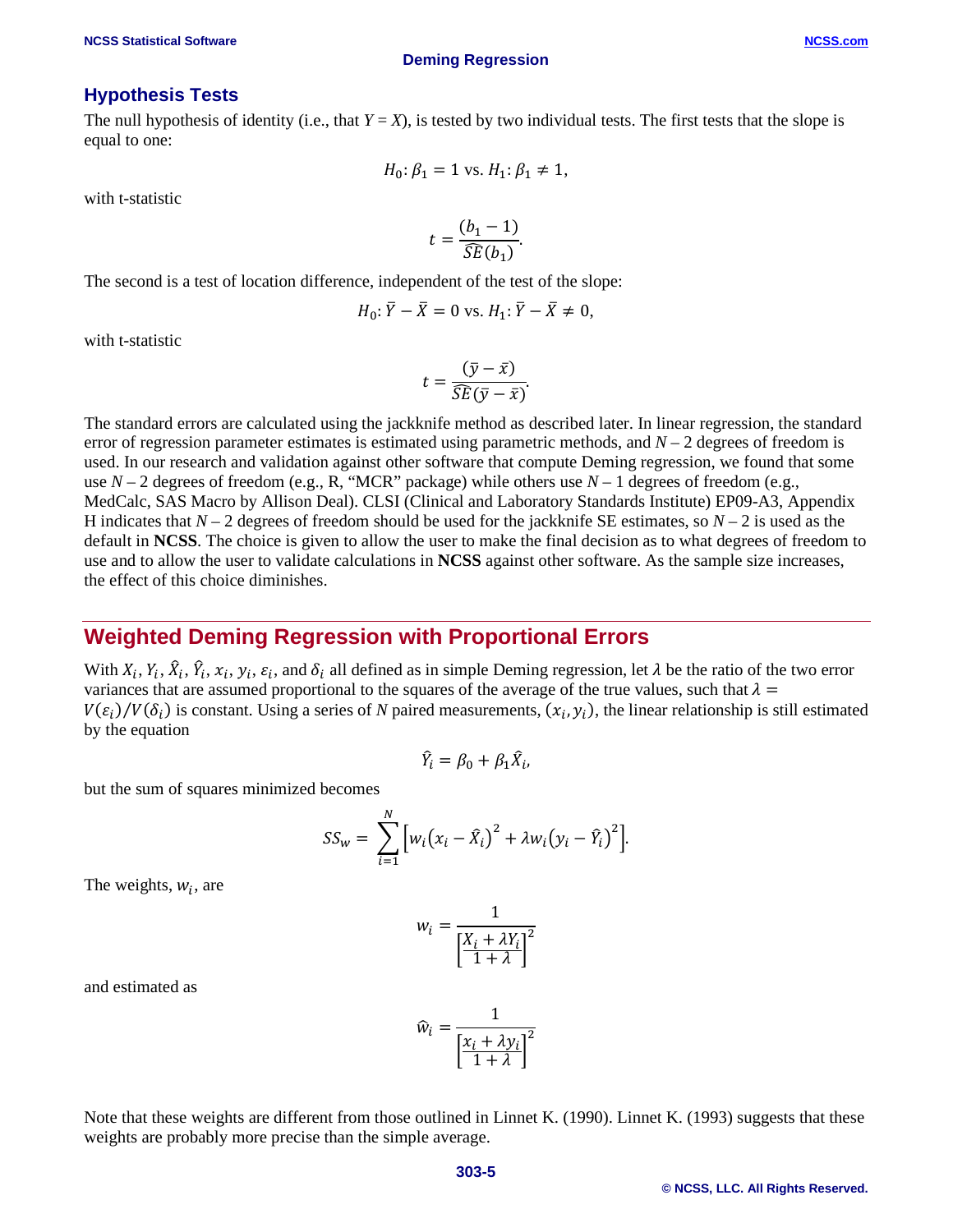The null hypothesis of identity (i.e., that  $Y = X$ ), is tested by two individual tests. The first tests that the slope is equal to one:

$$
H_0: \beta_1 = 1
$$
 vs.  $H_1: \beta_1 \neq 1$ ,

with t-statistic

$$
t = \frac{(b_1 - 1)}{\widehat{SE}(b_1)}.
$$

The second is a test of location difference, independent of the test of the slope:

$$
H_0: \overline{Y} - \overline{X} = 0
$$
 vs.  $H_1: \overline{Y} - \overline{X} \neq 0$ ,

with t-statistic

$$
t = \frac{(\bar{y} - \bar{x})}{\widehat{SE}(\bar{y} - \bar{x})}.
$$

The standard errors are calculated using the jackknife method as described later. In linear regression, the standard error of regression parameter estimates is estimated using parametric methods, and  $N-2$  degrees of freedom is used. In our research and validation against other software that compute Deming regression, we found that some use  $N-2$  degrees of freedom (e.g., R, "MCR" package) while others use  $N-1$  degrees of freedom (e.g., MedCalc, SAS Macro by Allison Deal). CLSI (Clinical and Laboratory Standards Institute) EP09-A3, Appendix H indicates that  $N-2$  degrees of freedom should be used for the jackknife SE estimates, so  $N-2$  is used as the default in **NCSS**. The choice is given to allow the user to make the final decision as to what degrees of freedom to use and to allow the user to validate calculations in **NCSS** against other software. As the sample size increases, the effect of this choice diminishes.

## **Weighted Deming Regression with Proportional Errors**

With  $X_i, Y_i, \hat{X}_i, \hat{Y}_i, x_i, y_i, \varepsilon_i$ , and  $\delta_i$  all defined as in simple Deming regression, let  $\lambda$  be the ratio of the two error variances that are assumed proportional to the squares of the average of the true values, such that  $\lambda =$  $V(\varepsilon_i)/V(\delta_i)$  is constant. Using a series of *N* paired measurements,  $(x_i, y_i)$ , the linear relationship is still estimated by the equation

$$
\hat{Y}_i = \beta_0 + \beta_1 \hat{X}_i,
$$

but the sum of squares minimized becomes

$$
SS_{w} = \sum_{i=1}^{N} [w_{i}(x_{i} - \hat{X}_{i})^{2} + \lambda w_{i}(y_{i} - \hat{Y}_{i})^{2}].
$$

The weights,  $w_i$ , are

$$
w_i = \frac{1}{\left[\frac{X_i + \lambda Y_i}{1 + \lambda}\right]^2}
$$

 $\widehat{w}_i = \frac{1}{\lceil \mathbf{x}_i + \mathbf{y}_i \rceil}$ 

and estimated as

Note that these weights are different from those outlined in Linnet K. 
$$
(1990)
$$
. Linnet K. (1993) suggests that these weights are probably more precise than the simple average.

 $\left[\frac{x_i + \lambda y_i}{1 + \lambda}\right]$ 

2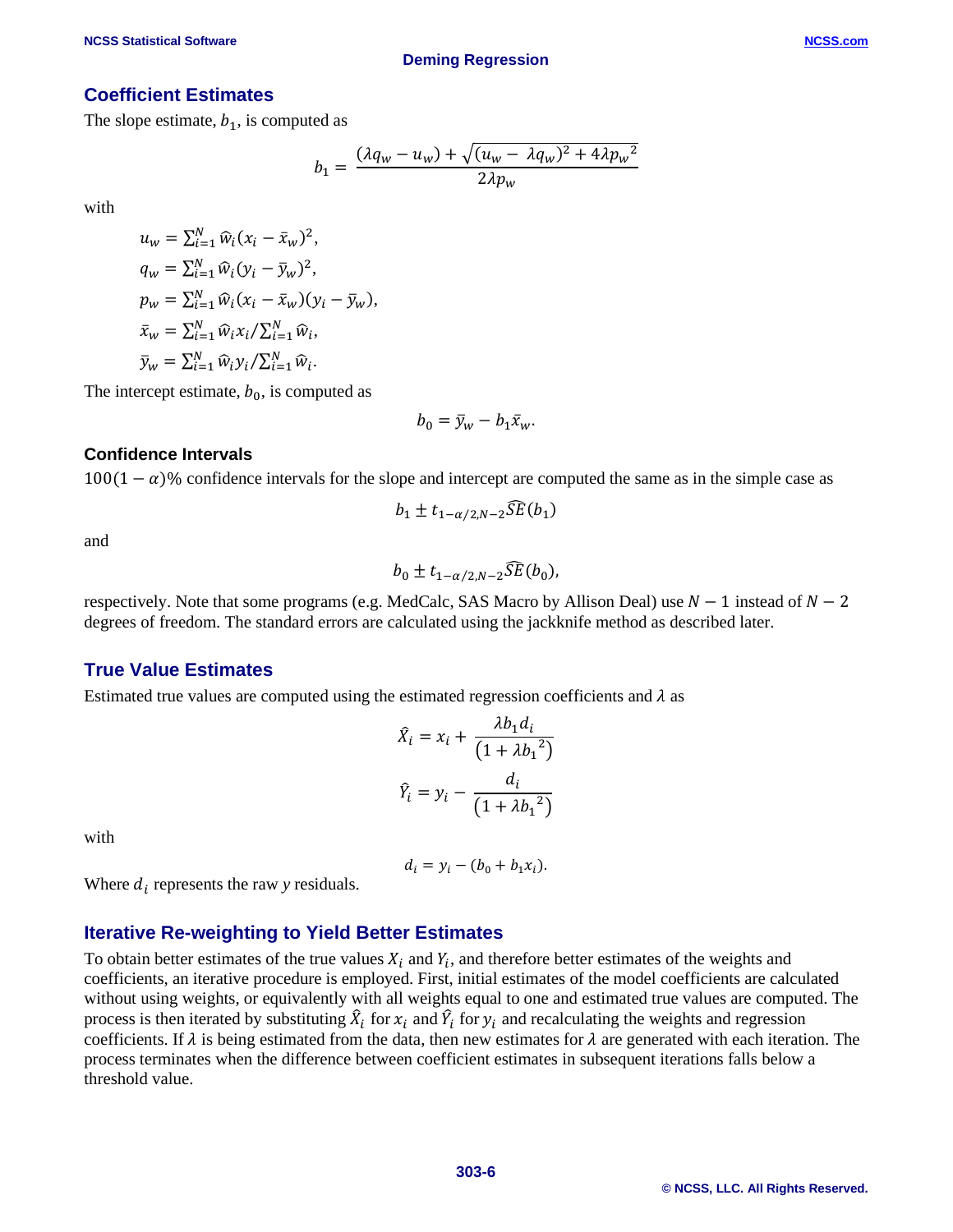#### **Coefficient Estimates**

The slope estimate,  $b_1$ , is computed as

$$
b_1 = \frac{(\lambda q_w - u_w) + \sqrt{(u_w - \lambda q_w)^2 + 4\lambda p_w^2}}{2\lambda p_w}
$$

with

$$
u_w = \sum_{i=1}^N \widehat{w}_i (x_i - \bar{x}_w)^2,
$$
  
\n
$$
q_w = \sum_{i=1}^N \widehat{w}_i (y_i - \bar{y}_w)^2,
$$
  
\n
$$
p_w = \sum_{i=1}^N \widehat{w}_i (x_i - \bar{x}_w) (y_i - \bar{y}_w),
$$
  
\n
$$
\bar{x}_w = \sum_{i=1}^N \widehat{w}_i x_i / \sum_{i=1}^N \widehat{w}_i,
$$
  
\n
$$
\bar{y}_w = \sum_{i=1}^N \widehat{w}_i y_i / \sum_{i=1}^N \widehat{w}_i.
$$

The intercept estimate,  $b_0$ , is computed as

$$
b_0 = \bar{y}_w - b_1 \bar{x}_w.
$$

#### **Confidence Intervals**

 $100(1 - \alpha)$ % confidence intervals for the slope and intercept are computed the same as in the simple case as

$$
b_1 \pm t_{1-\alpha/2,N-2} \overline{S} \widetilde{E}(b_1)
$$

and

$$
b_0 \pm t_{1-\alpha/2,N-2} \widehat{SE}(b_0),
$$

respectively. Note that some programs (e.g. MedCalc, SAS Macro by Allison Deal) use  $N-1$  instead of  $N-2$ degrees of freedom. The standard errors are calculated using the jackknife method as described later.

#### **True Value Estimates**

Estimated true values are computed using the estimated regression coefficients and  $\lambda$  as

$$
\hat{X}_i = x_i + \frac{\lambda b_1 a_i}{\left(1 + \lambda b_1^2\right)}
$$
\n
$$
\hat{Y}_i = y_i - \frac{a_i}{\left(1 + \lambda b_1^2\right)}
$$

with

$$
d_i = y_i - (b_0 + b_1 x_i).
$$

Where  $d_i$  represents the raw *y* residuals.

#### **Iterative Re-weighting to Yield Better Estimates**

To obtain better estimates of the true values  $X_i$  and  $Y_i$ , and therefore better estimates of the weights and coefficients, an iterative procedure is employed. First, initial estimates of the model coefficients are calculated without using weights, or equivalently with all weights equal to one and estimated true values are computed. The process is then iterated by substituting  $\hat{X}_i$  for  $x_i$  and  $\hat{Y}_i$  for  $y_i$  and recalculating the weights and regression coefficients. If  $\lambda$  is being estimated from the data, then new estimates for  $\lambda$  are generated with each iteration. The process terminates when the difference between coefficient estimates in subsequent iterations falls below a threshold value.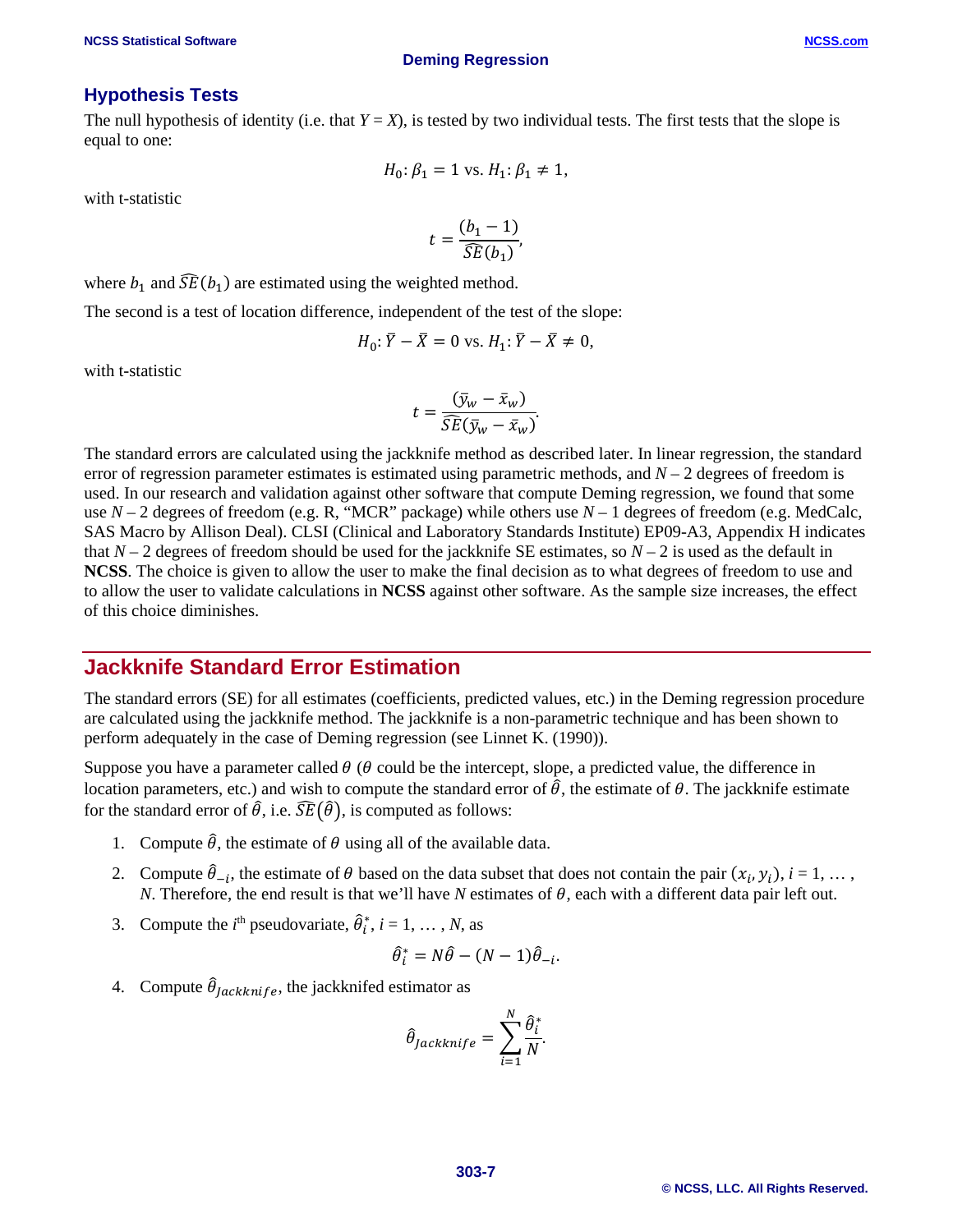#### **Hypothesis Tests**

The null hypothesis of identity (i.e. that  $Y = X$ ), is tested by two individual tests. The first tests that the slope is equal to one:

$$
H_0: \beta_1 = 1 \text{ vs. } H_1: \beta_1 \neq 1,
$$

with t-statistic

$$
t = \frac{(b_1 - 1)}{\widehat{SE}(b_1)},
$$

where  $b_1$  and  $\widehat{SE}(b_1)$  are estimated using the weighted method.

The second is a test of location difference, independent of the test of the slope:

$$
H_0: \overline{Y} - \overline{X} = 0 \text{ vs. } H_1: \overline{Y} - \overline{X} \neq 0,
$$

with t-statistic

$$
t = \frac{(\bar{y}_w - \bar{x}_w)}{\widehat{SE}(\bar{y}_w - \bar{x}_w)}.
$$

The standard errors are calculated using the jackknife method as described later. In linear regression, the standard error of regression parameter estimates is estimated using parametric methods, and  $N-2$  degrees of freedom is used. In our research and validation against other software that compute Deming regression, we found that some use *N* – 2 degrees of freedom (e.g. R, "MCR" package) while others use *N* – 1 degrees of freedom (e.g. MedCalc, SAS Macro by Allison Deal). CLSI (Clinical and Laboratory Standards Institute) EP09-A3, Appendix H indicates that  $N-2$  degrees of freedom should be used for the jackknife SE estimates, so  $N-2$  is used as the default in **NCSS**. The choice is given to allow the user to make the final decision as to what degrees of freedom to use and to allow the user to validate calculations in **NCSS** against other software. As the sample size increases, the effect of this choice diminishes.

## **Jackknife Standard Error Estimation**

The standard errors (SE) for all estimates (coefficients, predicted values, etc.) in the Deming regression procedure are calculated using the jackknife method. The jackknife is a non-parametric technique and has been shown to perform adequately in the case of Deming regression (see Linnet K. (1990)).

Suppose you have a parameter called  $\theta$  ( $\theta$  could be the intercept, slope, a predicted value, the difference in location parameters, etc.) and wish to compute the standard error of  $\hat{\theta}$ , the estimate of  $\theta$ . The jackknife estimate for the standard error of  $\hat{\theta}$ , i.e.  $\widehat{SE}(\hat{\theta})$ , is computed as follows:

- 1. Compute  $\hat{\theta}$ , the estimate of  $\theta$  using all of the available data.
- 2. Compute  $\hat{\theta}_{-i}$ , the estimate of  $\theta$  based on the data subset that does not contain the pair  $(x_i, y_i)$ ,  $i = 1, \ldots$ , *N*. Therefore, the end result is that we'll have *N* estimates of  $\theta$ , each with a different data pair left out.
- 3. Compute the *i*<sup>th</sup> pseudovariate,  $\hat{\theta}_i^*$ , *i* = 1, ..., *N*, as

$$
\hat{\theta}_i^* = N\hat{\theta} - (N-1)\hat{\theta}_{-i}.
$$

4. Compute  $\hat{\theta}_{jackknife}$ , the jackknifed estimator as

$$
\hat{\theta}_{Jackknife} = \sum_{i=1}^{N} \frac{\hat{\theta}_i^*}{N}.
$$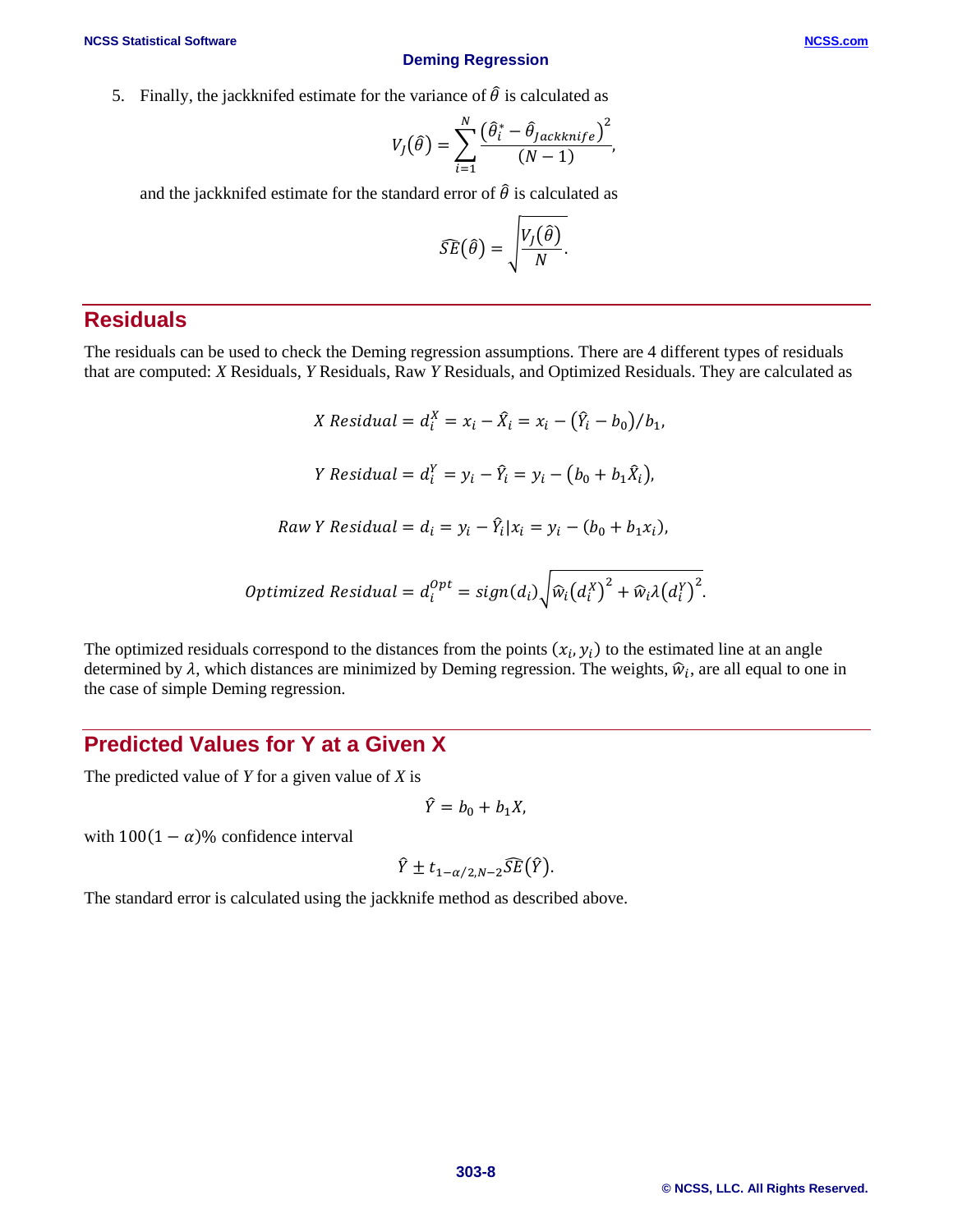#### **NCSS Statistical Software [NCSS.com](http://www.ncss.com/)**

#### **Deming Regression**

5. Finally, the jackknifed estimate for the variance of  $\hat{\theta}$  is calculated as

$$
V_J(\hat{\theta}) = \sum_{i=1}^N \frac{(\hat{\theta}_i^* - \hat{\theta}_{Jackknife})^2}{(N-1)},
$$

and the jackknifed estimate for the standard error of  $\hat{\theta}$  is calculated as

$$
\widehat{SE}(\widehat{\theta}) = \sqrt{\frac{V_J(\widehat{\theta})}{N}}.
$$

## **Residuals**

The residuals can be used to check the Deming regression assumptions. There are 4 different types of residuals that are computed: *X* Residuals, *Y* Residuals, Raw *Y* Residuals, and Optimized Residuals. They are calculated as

> *X* Residual =  $d_i^X = x_i - \hat{X}_i = x_i - (\hat{Y}_i - b_0)/b_1$ , *Y* Residual =  $d_i^Y = y_i - \hat{Y}_i = y_i - (b_0 + b_1 \hat{X}_i)$ , Raw Y Residual =  $d_i = y_i - Y_i | x_i = y_i - (b_0 + b_1 x_i)$ , mized Residual =  $d^{Opt}_i = sign(d_i) \sqrt{\hat{w}_i \big(d^{X}_i\big)^2 + \hat{w}_i \lambda \big(d^{Y}_i\big)^2}.$

The optimized residuals correspond to the distances from the points  $(x_i, y_i)$  to the estimated line at an angle determined by  $\lambda$ , which distances are minimized by Deming regression. The weights,  $\hat{w}_i$ , are all equal to one in the case of simple Deming regression.

## **Predicted Values for Y at a Given X**

The predicted value of *Y* for a given value of *X* is

$$
\hat{Y}=b_0+b_1X,
$$

with  $100(1 - \alpha)\%$  confidence interval

$$
\hat{Y} \pm t_{1-\alpha/2,N-2} \widehat{SE}(\hat{Y}).
$$

The standard error is calculated using the jackknife method as described above.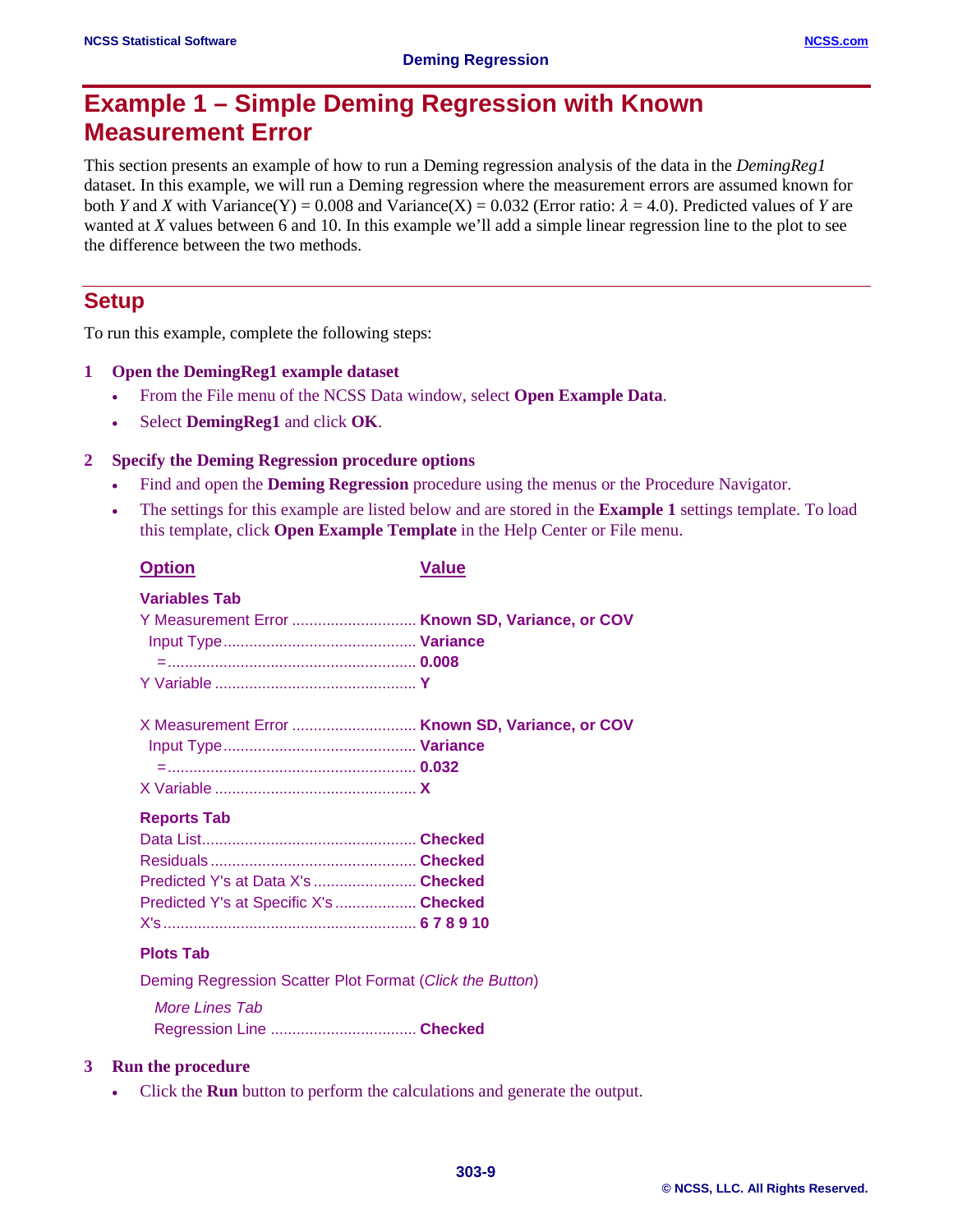# **Example 1 – Simple Deming Regression with Known Measurement Error**

This section presents an example of how to run a Deming regression analysis of the data in the *DemingReg1* dataset. In this example, we will run a Deming regression where the measurement errors are assumed known for both *Y* and *X* with Variance(Y) = 0.008 and Variance(X) = 0.032 (Error ratio:  $\lambda$  = 4.0). Predicted values of *Y* are wanted at *X* values between 6 and 10. In this example we'll add a simple linear regression line to the plot to see the difference between the two methods.

## **Setup**

To run this example, complete the following steps:

- **1 Open the DemingReg1 example dataset**
	- From the File menu of the NCSS Data window, select **Open Example Data**.
	- Select **DemingReg1** and click **OK**.

#### **2 Specify the Deming Regression procedure options**

- Find and open the **Deming Regression** procedure using the menus or the Procedure Navigator.
- The settings for this example are listed below and are stored in the **Example 1** settings template. To load this template, click **Open Example Template** in the Help Center or File menu.

| <b>Option</b>                                                                                                                                                                                                                                                                                               | Value                                           |
|-------------------------------------------------------------------------------------------------------------------------------------------------------------------------------------------------------------------------------------------------------------------------------------------------------------|-------------------------------------------------|
| <b>Variables Tab</b>                                                                                                                                                                                                                                                                                        | Y Measurement Error  Known SD, Variance, or COV |
|                                                                                                                                                                                                                                                                                                             | X Measurement Error  Known SD, Variance, or COV |
| <b>Reports Tab</b><br>Predicted Y's at Data X's  Checked<br>Predicted Y's at Specific X's Checked                                                                                                                                                                                                           |                                                 |
| <b>Plots Tab</b>                                                                                                                                                                                                                                                                                            |                                                 |
| $\mathbb{R}$ , $\mathbb{R}$ , $\mathbb{R}$ , $\mathbb{R}$ , $\mathbb{R}$ , $\mathbb{R}$ , $\mathbb{R}$ , $\mathbb{R}$ , $\mathbb{R}$ , $\mathbb{R}$ , $\mathbb{R}$ , $\mathbb{R}$ , $\mathbb{R}$ , $\mathbb{R}$ , $\mathbb{R}$ , $\mathbb{R}$ , $\mathbb{R}$ , $\mathbb{R}$ , $\mathbb{R}$ , $\mathbb{R}$ , |                                                 |

Deming Regression Scatter Plot Format (*Click the Button*) *More Lines Tab*

Regression Line .................................. **Checked**

#### **3 Run the procedure**

• Click the **Run** button to perform the calculations and generate the output.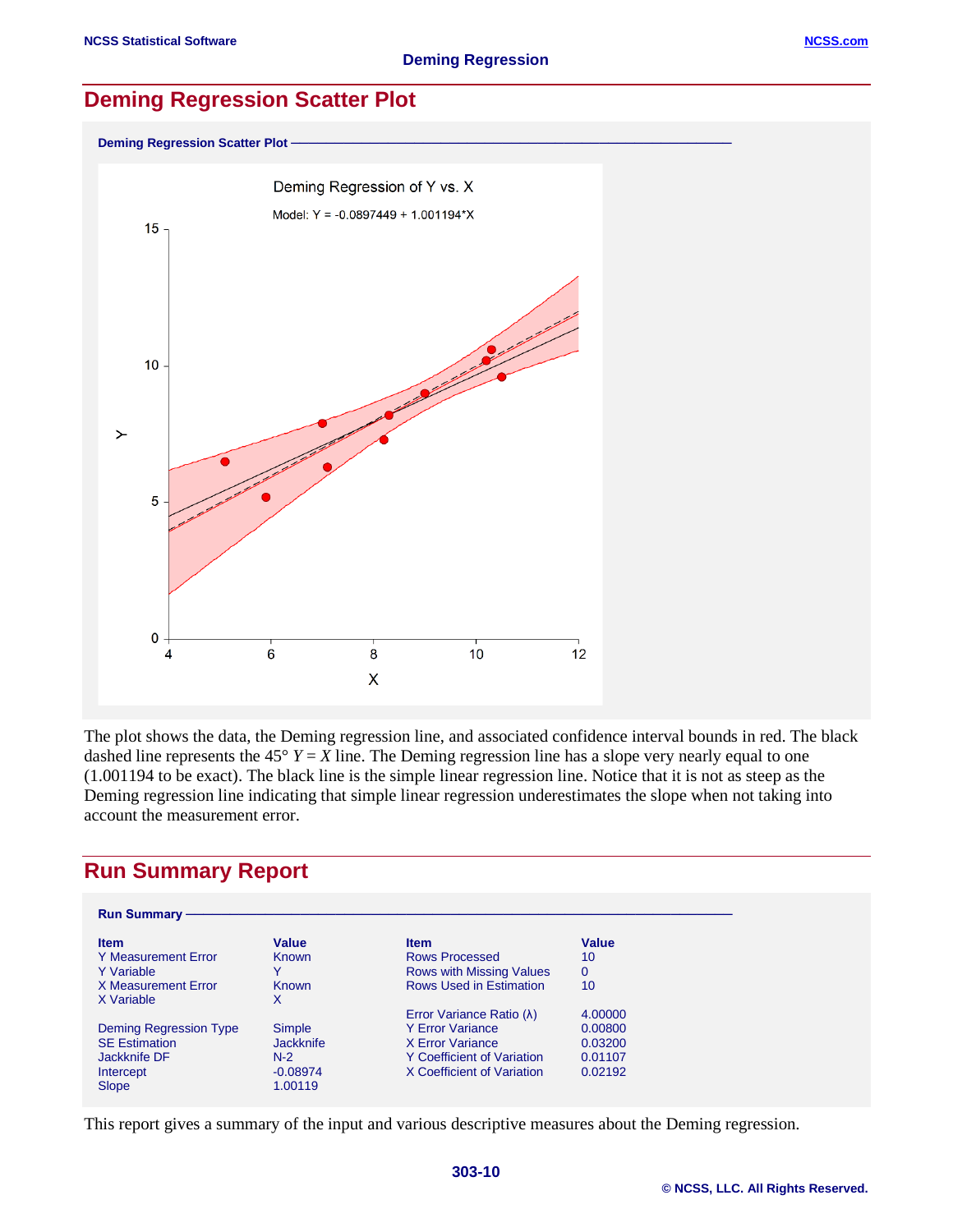## **Deming Regression Scatter Plot**

**Deming Regression Scatter Plot** 



The plot shows the data, the Deming regression line, and associated confidence interval bounds in red. The black dashed line represents the  $45^{\circ}$  *Y* = *X* line. The Deming regression line has a slope very nearly equal to one (1.001194 to be exact). The black line is the simple linear regression line. Notice that it is not as steep as the Deming regression line indicating that simple linear regression underestimates the slope when not taking into account the measurement error.

## **Run Summary Report**

| <b>Run Summary -</b>   |                  |                                |          |
|------------------------|------------------|--------------------------------|----------|
| <b>Item</b>            | Value            | <b>Item</b>                    | Value    |
| Y Measurement Error    | Known            | Rows Processed                 | 10       |
| Y Variable             | v                | Rows with Missing Values       | $\Omega$ |
| X Measurement Error    | Known            | <b>Rows Used in Estimation</b> | 10       |
| X Variable             | x                |                                |          |
|                        |                  | Error Variance Ratio (λ)       | 4.00000  |
| Deming Regression Type | Simple           | Y Error Variance               | 0.00800  |
| <b>SE Estimation</b>   | <b>Jackknife</b> | X Error Variance               | 0.03200  |
| Jackknife DF           | $N-2$            | Y Coefficient of Variation     | 0.01107  |
| Intercept              | $-0.08974$       | X Coefficient of Variation     | 0.02192  |
| <b>Slope</b>           | 1.00119          |                                |          |

This report gives a summary of the input and various descriptive measures about the Deming regression.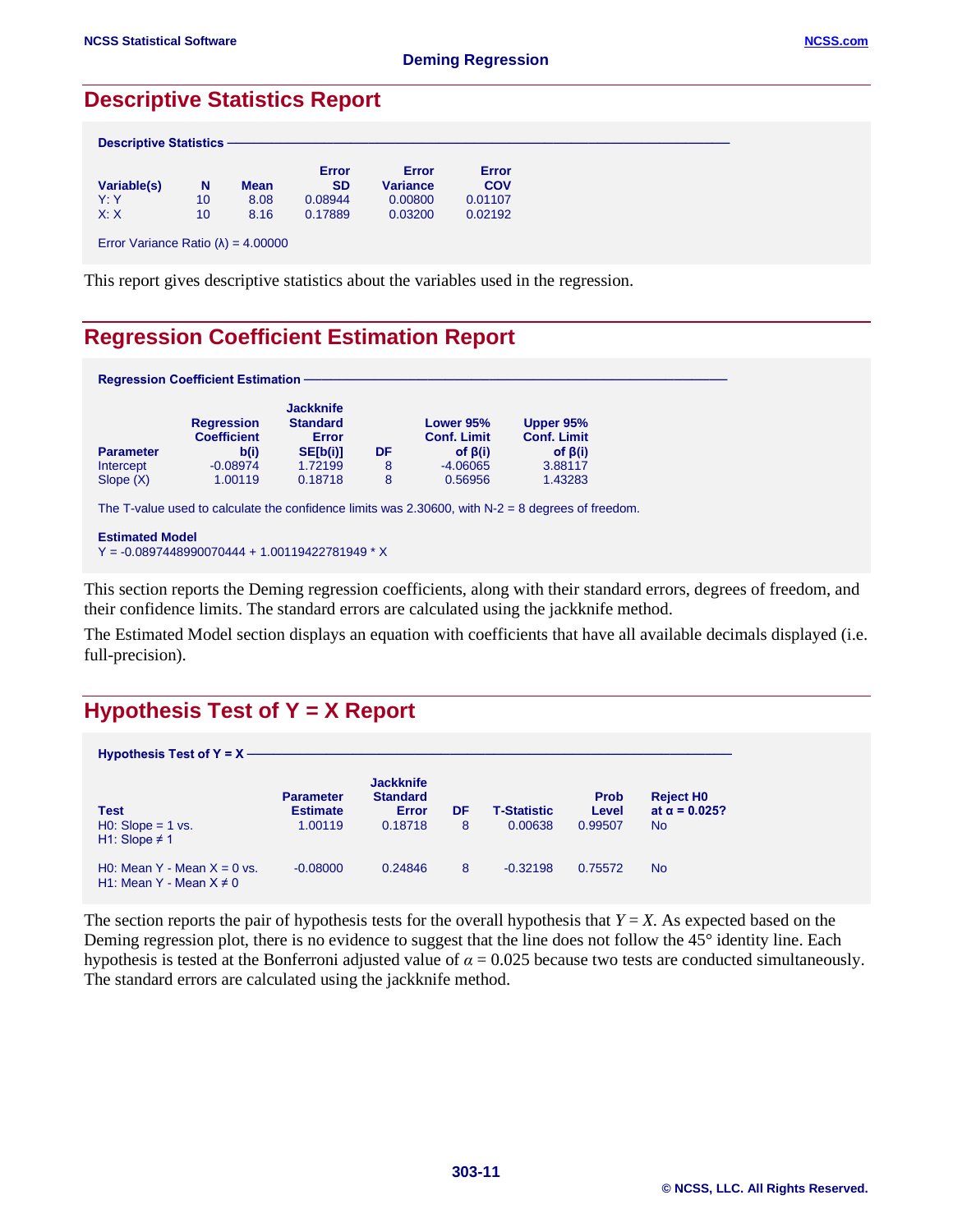## **Descriptive Statistics Report**

|             |    |             | Error     | Error           | Error      |
|-------------|----|-------------|-----------|-----------------|------------|
| Variable(s) | N  | <b>Mean</b> | <b>SD</b> | <b>Variance</b> | <b>COV</b> |
| Y:Y         | 10 | 8.08        | 0.08944   | 0.00800         | 0.01107    |
| X: X        | 10 | 8.16        | 0.17889   | 0.03200         | 0.02192    |

This report gives descriptive statistics about the variables used in the regression.

## **Regression Coefficient Estimation Report**

|                  | <b>Regression</b><br><b>Coefficient</b> | <b>Jackknife</b><br><b>Standard</b><br><b>Error</b> |    | Lower 95%<br><b>Conf. Limit</b> | Upper 95%<br><b>Conf. Limit</b> |
|------------------|-----------------------------------------|-----------------------------------------------------|----|---------------------------------|---------------------------------|
| <b>Parameter</b> | b(i)                                    | SE[b(i)]                                            | DF | of $\beta(i)$                   | of $\beta(i)$                   |
| Intercept        | $-0.08974$                              | 1.72199                                             | 8  | $-4.06065$                      | 3.88117                         |
| Slope(X)         | 1.00119                                 | 0.18718                                             | 8  | 0.56956                         | 1.43283                         |

Y = -0.0897448990070444 + 1.00119422781949 \* X

This section reports the Deming regression coefficients, along with their standard errors, degrees of freedom, and their confidence limits. The standard errors are calculated using the jackknife method.

The Estimated Model section displays an equation with coefficients that have all available decimals displayed (i.e. full-precision).

## **Hypothesis Test of Y = X Report**

| Hypothesis Test of $Y = X$ —                                  |                                     |                                              |    |                    |                      |                                      |
|---------------------------------------------------------------|-------------------------------------|----------------------------------------------|----|--------------------|----------------------|--------------------------------------|
| Test                                                          | <b>Parameter</b><br><b>Estimate</b> | <b>Jackknife</b><br><b>Standard</b><br>Error | DF | <b>T-Statistic</b> | <b>Prob</b><br>Level | <b>Reject HO</b><br>at $α = 0.025$ ? |
| $H0: Slope = 1 vs.$<br>H1: Slope $\neq$ 1                     | 1.00119                             | 0.18718                                      | 8  | 0.00638            | 0.99507              | <b>No</b>                            |
| H0: Mean Y - Mean $X = 0$ vs.<br>H1: Mean Y - Mean $X \neq 0$ | $-0.08000$                          | 0.24846                                      | 8  | $-0.32198$         | 0.75572              | <b>No</b>                            |

The section reports the pair of hypothesis tests for the overall hypothesis that  $Y = X$ . As expected based on the Deming regression plot, there is no evidence to suggest that the line does not follow the 45° identity line. Each hypothesis is tested at the Bonferroni adjusted value of  $\alpha = 0.025$  because two tests are conducted simultaneously. The standard errors are calculated using the jackknife method.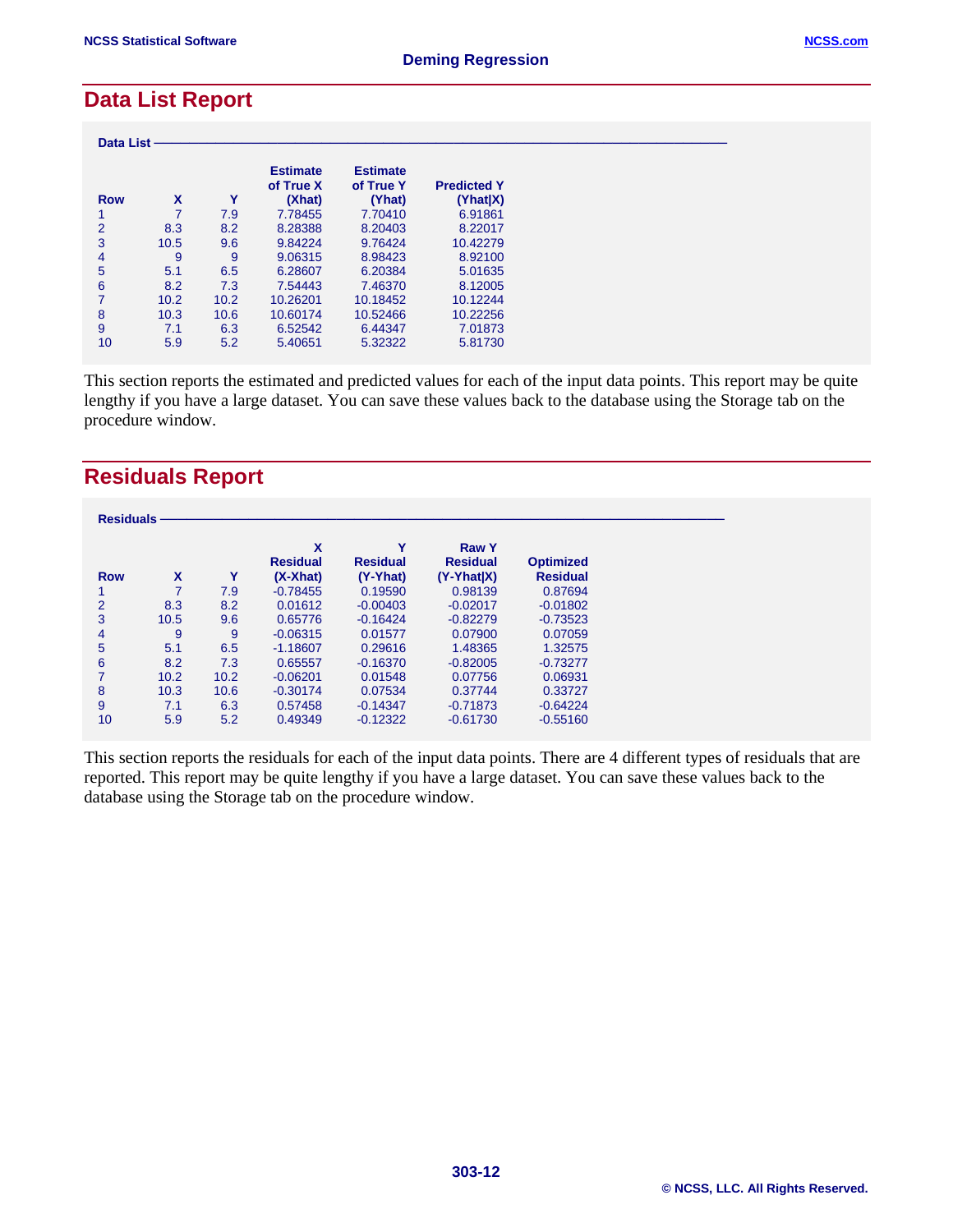## **Data List Report**

| <b>Data List</b> |      |      |                                        |                                        |                                |  |
|------------------|------|------|----------------------------------------|----------------------------------------|--------------------------------|--|
| <b>Row</b>       | X    | Υ    | <b>Estimate</b><br>of True X<br>(Xhat) | <b>Estimate</b><br>of True Y<br>(Yhat) | <b>Predicted Y</b><br>(Yhat X) |  |
|                  |      | 7.9  | 7.78455                                | 7.70410                                | 6.91861                        |  |
| $\overline{2}$   | 8.3  | 8.2  | 8.28388                                | 8.20403                                | 8.22017                        |  |
| 3                | 10.5 | 9.6  | 9.84224                                | 9.76424                                | 10.42279                       |  |
| 4                | 9    | 9    | 9.06315                                | 8.98423                                | 8.92100                        |  |
| 5                | 5.1  | 6.5  | 6.28607                                | 6.20384                                | 5.01635                        |  |
| 6                | 8.2  | 7.3  | 7.54443                                | 7.46370                                | 8.12005                        |  |
| 7                | 10.2 | 10.2 | 10.26201                               | 10.18452                               | 10.12244                       |  |
| 8                | 10.3 | 10.6 | 10.60174                               | 10.52466                               | 10.22256                       |  |
| 9                | 7.1  | 6.3  | 6.52542                                | 6.44347                                | 7.01873                        |  |
| 10               | 5.9  | 5.2  | 5.40651                                | 5.32322                                | 5.81730                        |  |

This section reports the estimated and predicted values for each of the input data points. This report may be quite lengthy if you have a large dataset. You can save these values back to the database using the Storage tab on the procedure window.

## **Residuals Report**

| <b>Residuals</b> |      |      |                                    |                                  |                                                 |                                     |
|------------------|------|------|------------------------------------|----------------------------------|-------------------------------------------------|-------------------------------------|
| <b>Row</b>       | X    | Υ    | X<br><b>Residual</b><br>$(X-Xhat)$ | Υ<br><b>Residual</b><br>(Y-Yhat) | <b>Raw Y</b><br><b>Residual</b><br>$(Y-Yhat X)$ | <b>Optimized</b><br><b>Residual</b> |
|                  |      | 7.9  | $-0.78455$                         | 0.19590                          | 0.98139                                         | 0.87694                             |
| $\overline{2}$   | 8.3  | 8.2  | 0.01612                            | $-0.00403$                       | $-0.02017$                                      | $-0.01802$                          |
| 3                | 10.5 | 9.6  | 0.65776                            | $-0.16424$                       | $-0.82279$                                      | $-0.73523$                          |
| 4                | 9    | 9    | $-0.06315$                         | 0.01577                          | 0.07900                                         | 0.07059                             |
| 5                | 5.1  | 6.5  | $-1.18607$                         | 0.29616                          | 1.48365                                         | 1.32575                             |
| 6                | 8.2  | 7.3  | 0.65557                            | $-0.16370$                       | $-0.82005$                                      | $-0.73277$                          |
|                  | 10.2 | 10.2 | $-0.06201$                         | 0.01548                          | 0.07756                                         | 0.06931                             |
| 8                | 10.3 | 10.6 | $-0.30174$                         | 0.07534                          | 0.37744                                         | 0.33727                             |
| 9                | 7.1  | 6.3  | 0.57458                            | $-0.14347$                       | $-0.71873$                                      | $-0.64224$                          |
| 10               | 5.9  | 5.2  | 0.49349                            | $-0.12322$                       | $-0.61730$                                      | $-0.55160$                          |

This section reports the residuals for each of the input data points. There are 4 different types of residuals that are reported. This report may be quite lengthy if you have a large dataset. You can save these values back to the database using the Storage tab on the procedure window.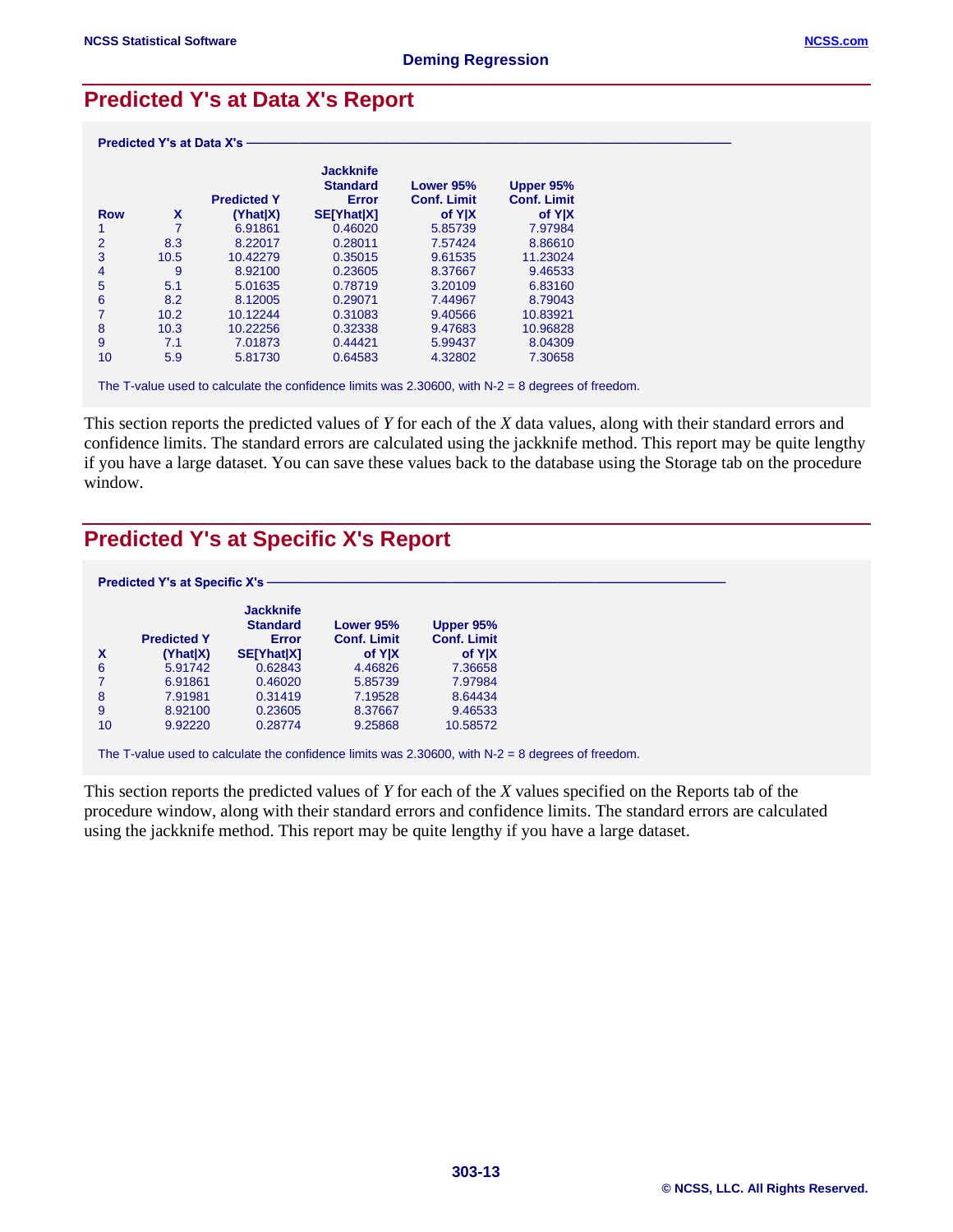## **Predicted Y's at Data X's Report**

|                |      | <b>Predicted Y</b> | <b>Jackknife</b><br><b>Standard</b><br><b>Error</b> | Lower 95%<br><b>Conf. Limit</b> | Upper 95%<br><b>Conf. Limit</b> |
|----------------|------|--------------------|-----------------------------------------------------|---------------------------------|---------------------------------|
| <b>Row</b>     | X    | (Yhat X)           | <b>SE[Yhat X]</b>                                   | of Y X                          | of Y X                          |
|                | 7    | 6.91861            | 0.46020                                             | 5.85739                         | 7.97984                         |
| $\overline{2}$ | 8.3  | 8.22017            | 0.28011                                             | 7.57424                         | 8.86610                         |
| 3              | 10.5 | 10.42279           | 0.35015                                             | 9.61535                         | 11.23024                        |
| 4              | 9    | 8.92100            | 0.23605                                             | 8.37667                         | 9.46533                         |
| 5              | 5.1  | 5.01635            | 0.78719                                             | 3.20109                         | 6.83160                         |
| 6              | 8.2  | 8.12005            | 0.29071                                             | 7.44967                         | 8.79043                         |
| 7              | 10.2 | 10.12244           | 0.31083                                             | 9.40566                         | 10.83921                        |
| 8              | 10.3 | 10.22256           | 0.32338                                             | 9.47683                         | 10.96828                        |
| 9              | 7.1  | 7.01873            | 0.44421                                             | 5.99437                         | 8.04309                         |
| 10             | 5.9  | 5.81730            | 0.64583                                             | 4.32802                         | 7.30658                         |

The T-value used to calculate the confidence limits was 2.30600, with N-2 = 8 degrees of freedom.

This section reports the predicted values of *Y* for each of the *X* data values, along with their standard errors and confidence limits. The standard errors are calculated using the jackknife method. This report may be quite lengthy if you have a large dataset. You can save these values back to the database using the Storage tab on the procedure window.

## **Predicted Y's at Specific X's Report**

|    |                    | <b>Jackknife</b><br><b>Standard</b> | Lower 95%          | Upper 95%          |  |
|----|--------------------|-------------------------------------|--------------------|--------------------|--|
|    | <b>Predicted Y</b> | Error                               | <b>Conf. Limit</b> | <b>Conf. Limit</b> |  |
| X  | (Yhat X)           | <b>SE[Yhat X]</b>                   | of Y X             | of Y X             |  |
| 6  | 5.91742            | 0.62843                             | 4.46826            | 7.36658            |  |
|    | 6.91861            | 0.46020                             | 5.85739            | 7.97984            |  |
| 8  | 7.91981            | 0.31419                             | 7.19528            | 8.64434            |  |
| 9  | 8.92100            | 0.23605                             | 8.37667            | 9.46533            |  |
| 10 | 9.92220            | 0.28774                             | 9.25868            | 10.58572           |  |

The T-value used to calculate the confidence limits was 2.30600, with N-2 = 8 degrees of freedom.

This section reports the predicted values of *Y* for each of the *X* values specified on the Reports tab of the procedure window, along with their standard errors and confidence limits. The standard errors are calculated using the jackknife method. This report may be quite lengthy if you have a large dataset.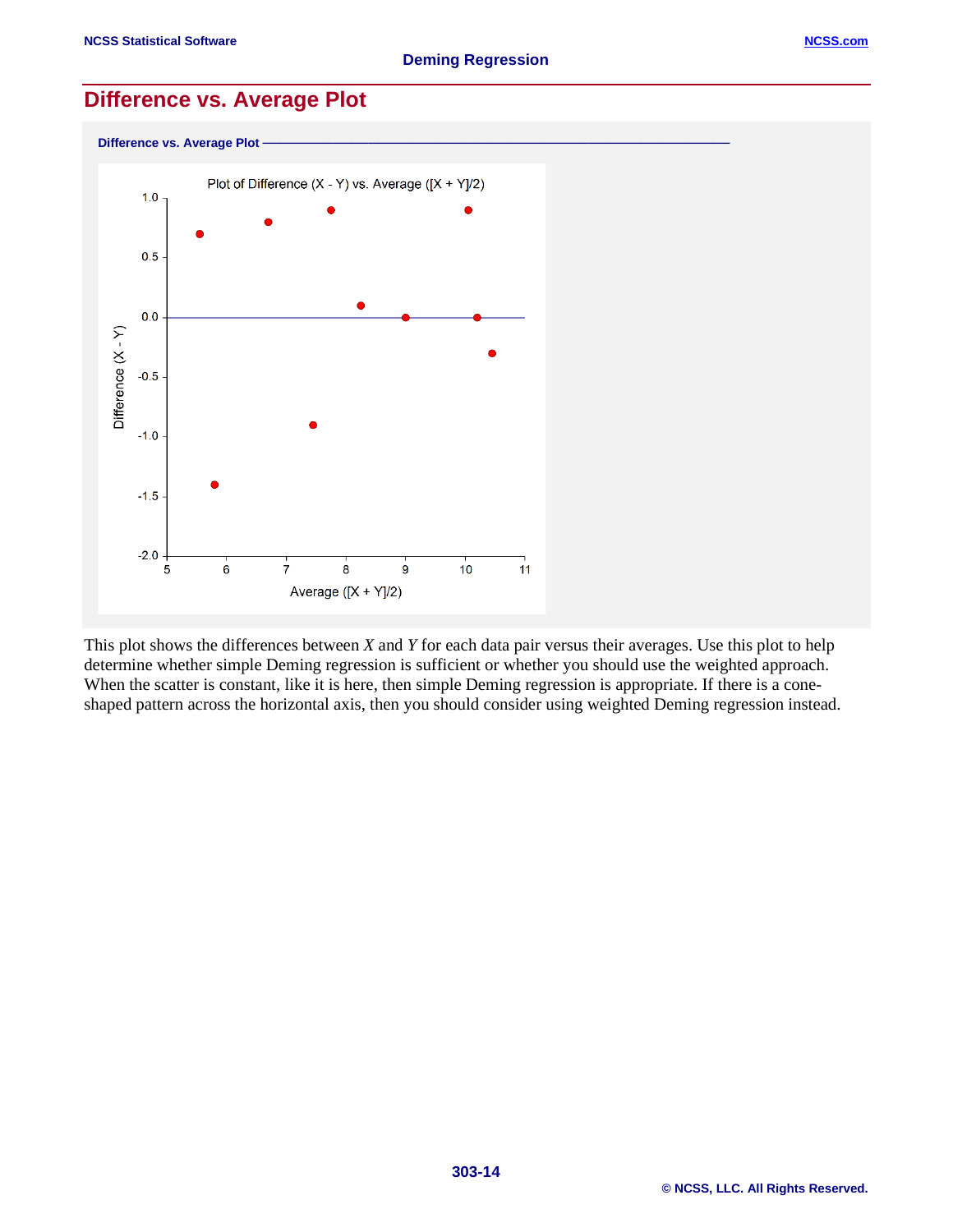## **Difference vs. Average Plot**



This plot shows the differences between *X* and *Y* for each data pair versus their averages. Use this plot to help determine whether simple Deming regression is sufficient or whether you should use the weighted approach. When the scatter is constant, like it is here, then simple Deming regression is appropriate. If there is a coneshaped pattern across the horizontal axis, then you should consider using weighted Deming regression instead.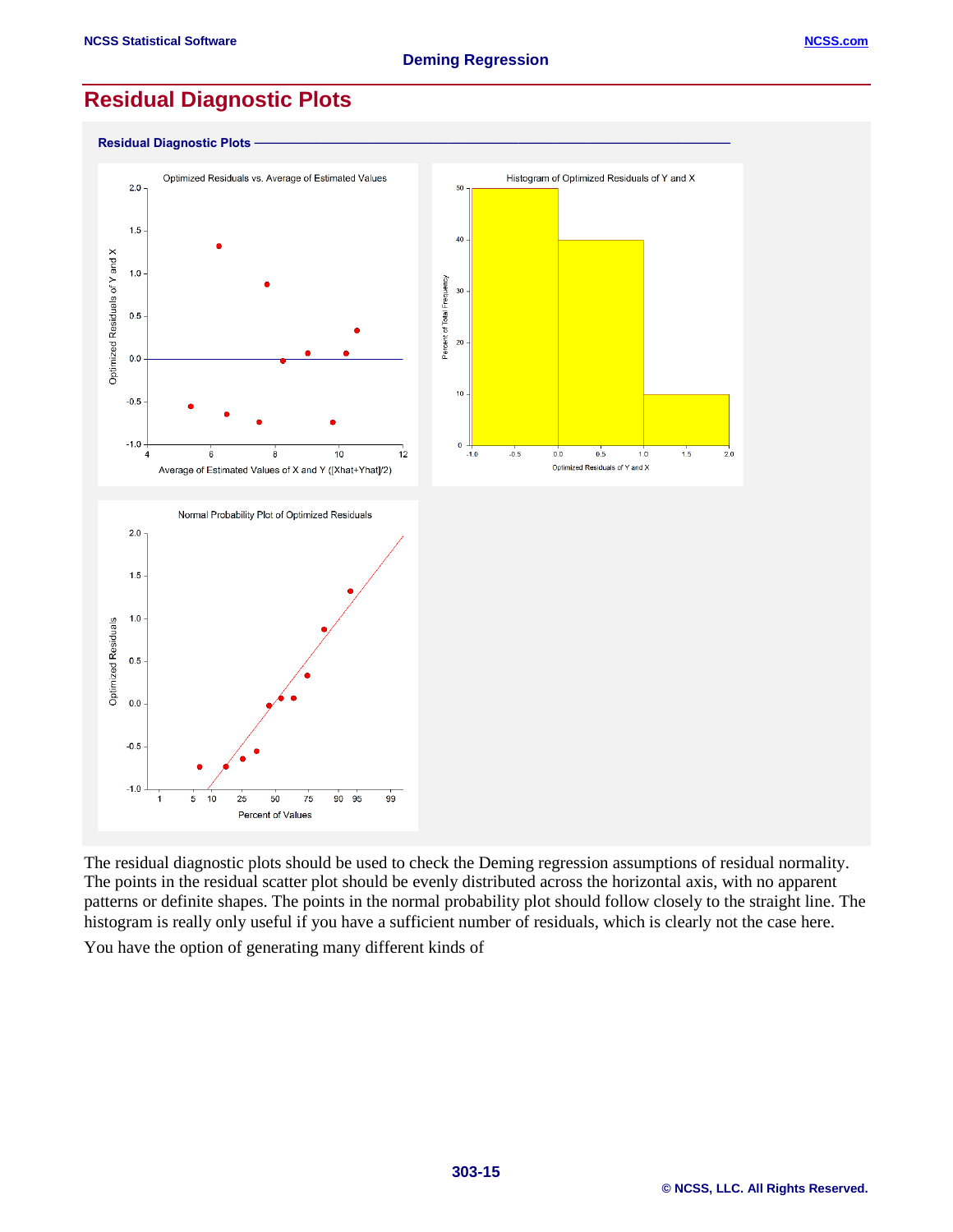$-0.5$ 

 $-1.0$ 

5  $10$ 25

## **Residual Diagnostic Plots**



The residual diagnostic plots should be used to check the Deming regression assumptions of residual normality. The points in the residual scatter plot should be evenly distributed across the horizontal axis, with no apparent patterns or definite shapes. The points in the normal probability plot should follow closely to the straight line. The histogram is really only useful if you have a sufficient number of residuals, which is clearly not the case here.

You have the option of generating many different kinds of

50

Percent of Values

75

90 95

99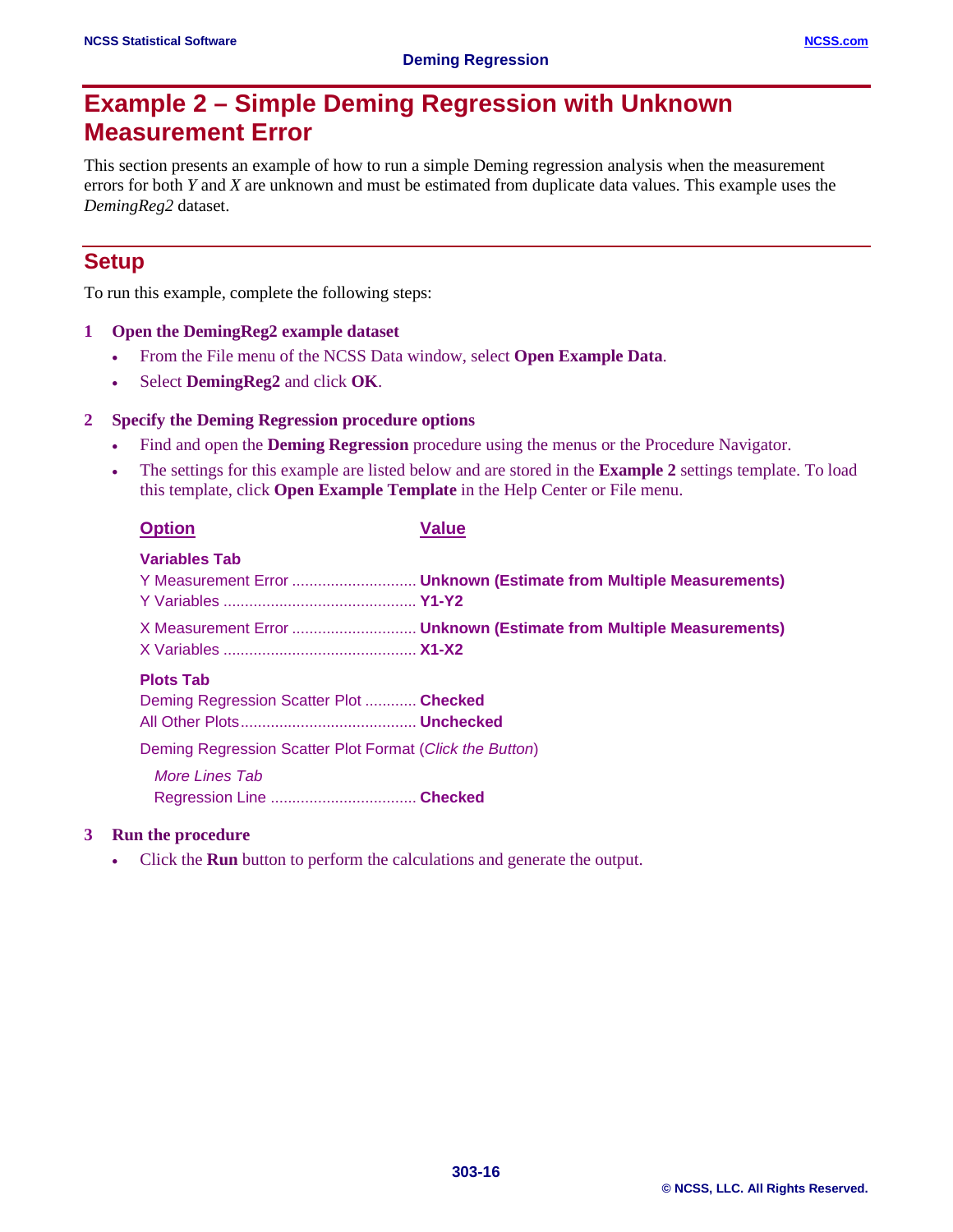# **Example 2 – Simple Deming Regression with Unknown Measurement Error**

This section presents an example of how to run a simple Deming regression analysis when the measurement errors for both *Y* and *X* are unknown and must be estimated from duplicate data values. This example uses the *DemingReg2* dataset.

## **Setup**

To run this example, complete the following steps:

#### **1 Open the DemingReg2 example dataset**

- From the File menu of the NCSS Data window, select **Open Example Data**.
- Select **DemingReg2** and click **OK**.

#### **2 Specify the Deming Regression procedure options**

- Find and open the **Deming Regression** procedure using the menus or the Procedure Navigator.
- The settings for this example are listed below and are stored in the **Example 2** settings template. To load this template, click **Open Example Template** in the Help Center or File menu.

| <b>Option</b>                                               | Value |
|-------------------------------------------------------------|-------|
| Variables Tab                                               |       |
|                                                             |       |
| <b>Plots Tab</b><br>Deming Regression Scatter Plot  Checked |       |
| Deming Regression Scatter Plot Format (Click the Button)    |       |
| More Lines Tab                                              |       |

#### **3 Run the procedure**

• Click the **Run** button to perform the calculations and generate the output.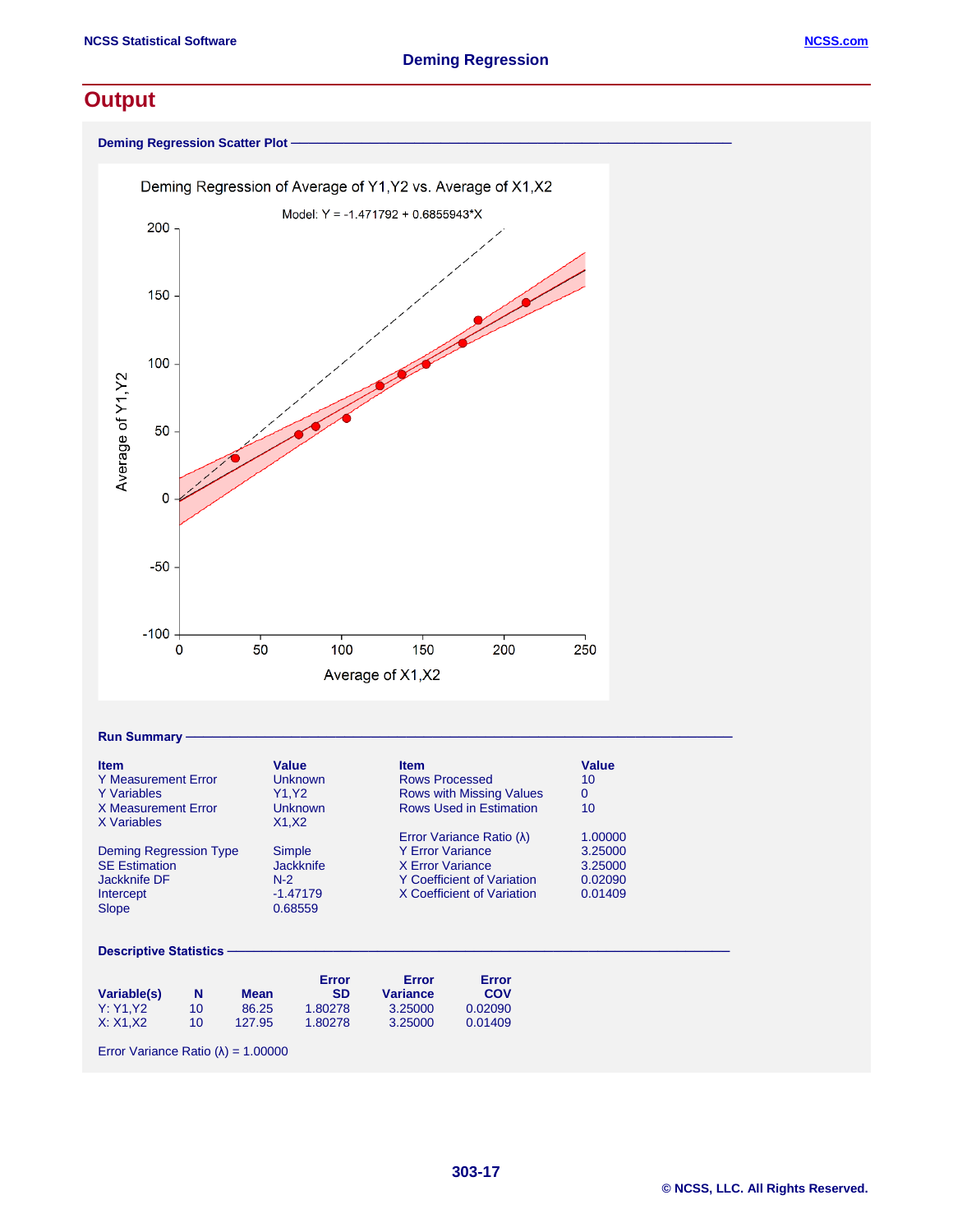## **Output**

**Deming Regression Scatter Plot** 



#### $Run$  Summary

| <b>Item</b>                   | Value            | <b>Item</b>                        | Value   |
|-------------------------------|------------------|------------------------------------|---------|
| <b>Y</b> Measurement Error    | <b>Unknown</b>   | <b>Rows Processed</b>              | 10      |
| <b>Y</b> Variables            | Y1.Y2            | <b>Rows with Missing Values</b>    | 0       |
| X Measurement Error           | <b>Unknown</b>   | <b>Rows Used in Estimation</b>     | 10      |
| X Variables                   | X1.X2            |                                    |         |
|                               |                  | Error Variance Ratio ( $\lambda$ ) | 1.00000 |
| <b>Deming Regression Type</b> | Simple           | <b>Y Error Variance</b>            | 3.25000 |
| <b>SE Estimation</b>          | <b>Jackknife</b> | X Error Variance                   | 3.25000 |
| Jackknife DF                  | $N-2$            | <b>Y</b> Coefficient of Variation  | 0.02090 |
| Intercept                     | $-1.47179$       | X Coefficient of Variation         | 0.01409 |
| <b>Slope</b>                  | 0.68559          |                                    |         |
|                               |                  |                                    |         |

**303-17**

#### Descriptive Statistics

|             |    |             | Error     | Error           | Error   |
|-------------|----|-------------|-----------|-----------------|---------|
| Variable(s) | N  | <b>Mean</b> | <b>SD</b> | <b>Variance</b> | COV     |
| Y: Y1.Y2    | 10 | 86.25       | 1.80278   | 3.25000         | 0.02090 |
| X: X1.X2    | 10 | 127.95      | 1.80278   | 3.25000         | 0.01409 |

Error Variance Ratio  $(\lambda) = 1.00000$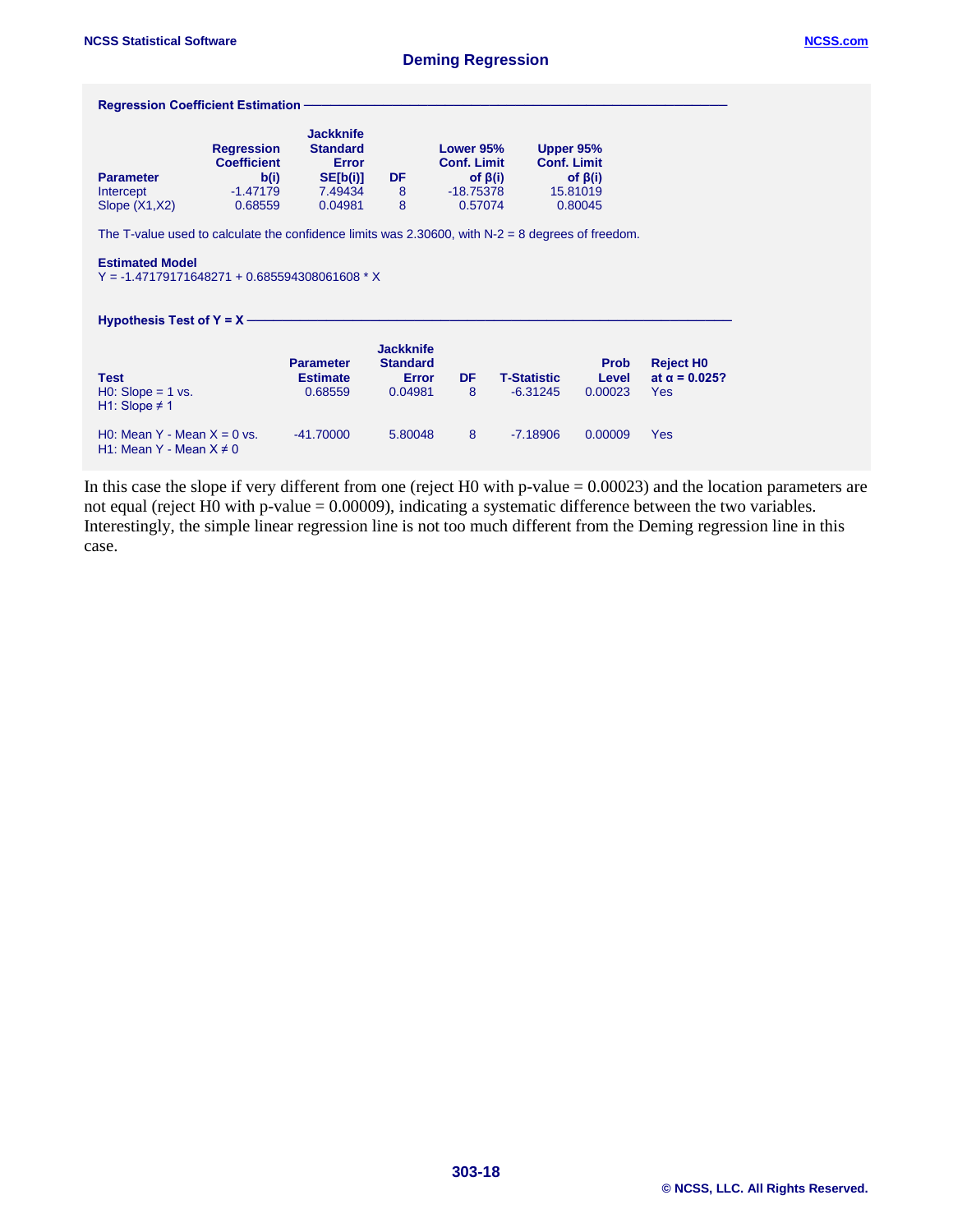| <b>Regression Coefficient Estimation -</b>                                                               |                                                                          |                                                                                       |                                                                |                                                           |                                  |                                                                         |                                                    |
|----------------------------------------------------------------------------------------------------------|--------------------------------------------------------------------------|---------------------------------------------------------------------------------------|----------------------------------------------------------------|-----------------------------------------------------------|----------------------------------|-------------------------------------------------------------------------|----------------------------------------------------|
| <b>Parameter</b><br>Intercept<br>Slope $(X1, X2)$                                                        | <b>Regression</b><br><b>Coefficient</b><br>b(i)<br>$-1.47179$<br>0.68559 | <b>Jackknife</b><br><b>Standard</b><br><b>Error</b><br>SE[b(i)]<br>7.49434<br>0.04981 | DF<br>8<br>8                                                   | Lower 95%<br><b>Conf. Limit</b><br>$-18.75378$<br>0.57074 | of $\beta(i)$                    | Upper 95%<br><b>Conf. Limit</b><br>of $\beta(i)$<br>15.81019<br>0.80045 |                                                    |
| The T-value used to calculate the confidence limits was 2.30600, with $N-2 = 8$ degrees of freedom.      |                                                                          |                                                                                       |                                                                |                                                           |                                  |                                                                         |                                                    |
| <b>Estimated Model</b><br>$Y = 1.47179171648271 + 0.685594308061608 * X$<br>Hypothesis Test of $Y = X -$ |                                                                          |                                                                                       |                                                                |                                                           |                                  |                                                                         |                                                    |
| <b>Test</b><br>$H0: Slope = 1 vs.$<br>H1: Slope $\neq$ 1                                                 |                                                                          | <b>Parameter</b><br><b>Estimate</b><br>0.68559                                        | <b>Jackknife</b><br><b>Standard</b><br><b>Error</b><br>0.04981 | DF<br>8                                                   | <b>T-Statistic</b><br>$-6.31245$ | <b>Prob</b><br>Level<br>0.00023                                         | <b>Reject HO</b><br>at $α = 0.025$ ?<br><b>Yes</b> |
| H0: Mean Y - Mean $X = 0$ vs.<br>H1: Mean Y - Mean $X \neq 0$                                            |                                                                          | $-41.70000$                                                                           | 5.80048                                                        | 8                                                         | $-7.18906$                       | 0.00009                                                                 | <b>Yes</b>                                         |

In this case the slope if very different from one (reject H0 with p-value = 0.00023) and the location parameters are not equal (reject H0 with p-value = 0.00009), indicating a systematic difference between the two variables. Interestingly, the simple linear regression line is not too much different from the Deming regression line in this case.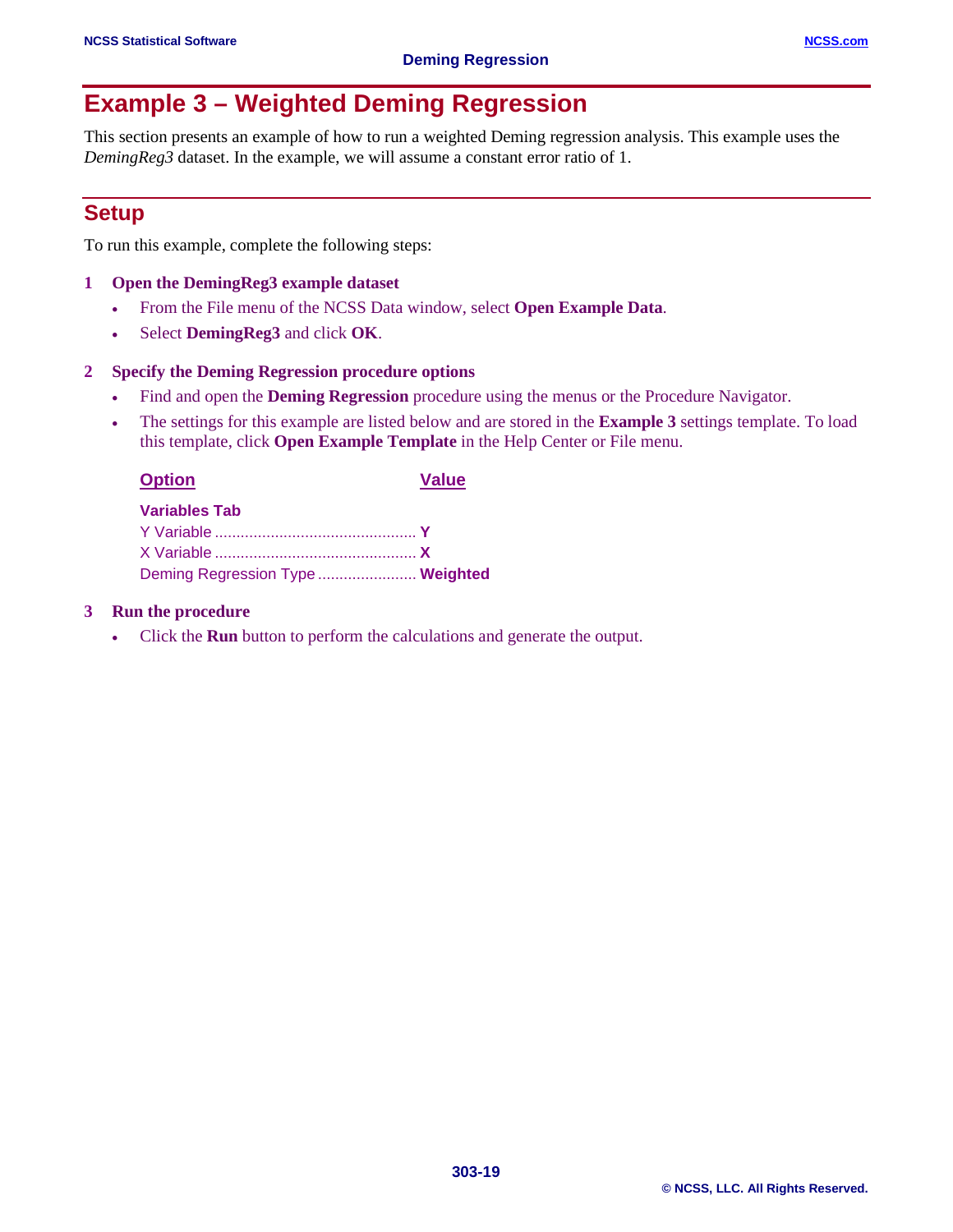# **Example 3 – Weighted Deming Regression**

This section presents an example of how to run a weighted Deming regression analysis. This example uses the *DemingReg3* dataset. In the example, we will assume a constant error ratio of 1.

## **Setup**

To run this example, complete the following steps:

#### **1 Open the DemingReg3 example dataset**

- From the File menu of the NCSS Data window, select **Open Example Data**.
- Select **DemingReg3** and click **OK**.

#### **2 Specify the Deming Regression procedure options**

- Find and open the **Deming Regression** procedure using the menus or the Procedure Navigator.
- The settings for this example are listed below and are stored in the **Example 3** settings template. To load this template, click **Open Example Template** in the Help Center or File menu.

| <b>Option</b>                    | <b>Value</b> |
|----------------------------------|--------------|
| <b>Variables Tab</b>             |              |
|                                  |              |
|                                  |              |
| Deming Regression Type  Weighted |              |

#### **3 Run the procedure**

• Click the **Run** button to perform the calculations and generate the output.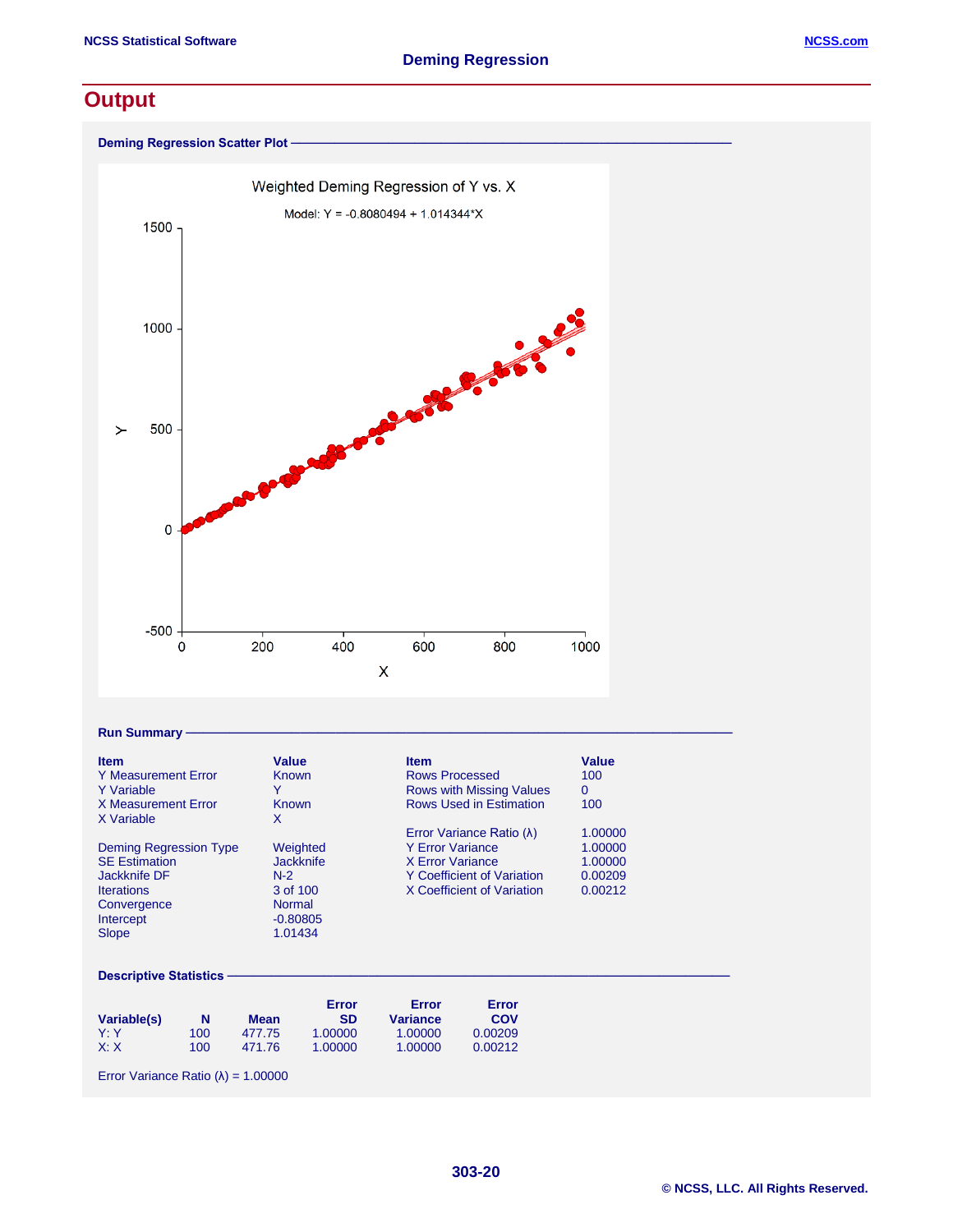## **Output**



#### $Run$  Summary

| <b>Item</b><br>Y Measurement Error<br>Y Variable<br>X Measurement Error<br>X Variable                                                  | Value<br>Known<br>Known<br>х                                                                | <b>Item</b><br>Rows Processed<br><b>Rows with Missing Values</b><br><b>Rows Used in Estimation</b>                                         | Value<br>100<br>0<br>100                            |
|----------------------------------------------------------------------------------------------------------------------------------------|---------------------------------------------------------------------------------------------|--------------------------------------------------------------------------------------------------------------------------------------------|-----------------------------------------------------|
| <b>Deming Regression Type</b><br><b>SE Estimation</b><br>Jackknife DF<br><b>Iterations</b><br>Convergence<br>Intercept<br><b>Slope</b> | Weighted<br><b>Jackknife</b><br>$N-2$<br>3 of 100<br><b>Normal</b><br>$-0.80805$<br>1.01434 | Error Variance Ratio (λ)<br><b>Y Error Variance</b><br>X Error Variance<br><b>Y Coefficient of Variation</b><br>X Coefficient of Variation | 1.00000<br>1.00000<br>1.00000<br>0.00209<br>0.00212 |

#### Descriptive Statistics

| Variable(s) | N   | Mean   | Error<br><b>SD</b> | Error<br><b>Variance</b> | Error<br>COV |
|-------------|-----|--------|--------------------|--------------------------|--------------|
| Y'Y         | 100 | 477.75 | 1.00000            | 1.00000                  | 0.00209      |
| X: X        | 100 | 471.76 | 1.00000            | 1.00000                  | 0.00212      |

Error Variance Ratio (λ) = 1.00000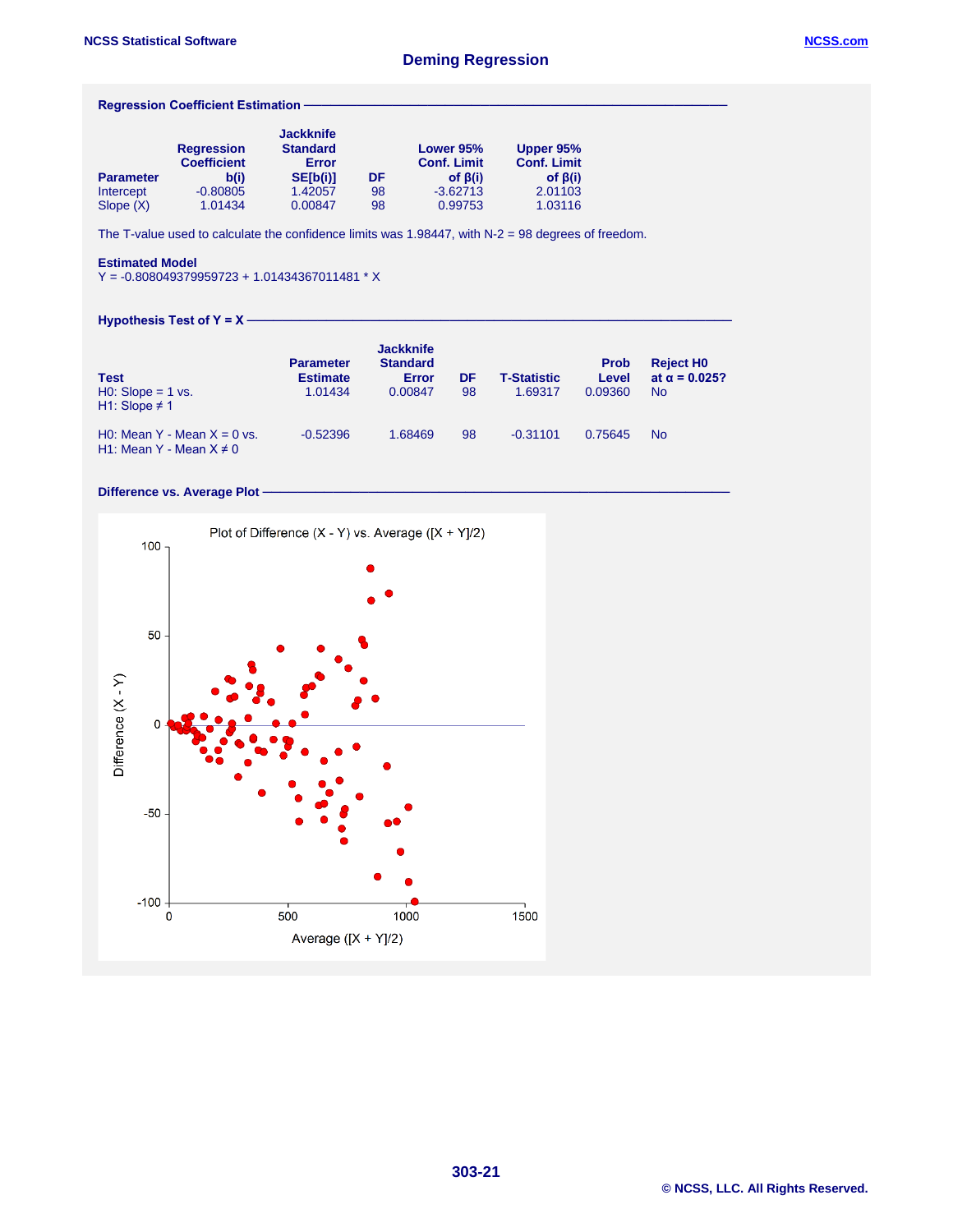#### **Regression Coefficient Estimation -**

|                  | <b>Regression</b><br><b>Coefficient</b> | <b>Jackknife</b><br><b>Standard</b><br>Error |    | Lower 95%<br><b>Conf. Limit</b> | Upper 95%<br><b>Conf. Limit</b> |
|------------------|-----------------------------------------|----------------------------------------------|----|---------------------------------|---------------------------------|
| <b>Parameter</b> | b(i)                                    | SE[b(i)]                                     | DF | of $\beta(i)$                   | of $\beta(i)$                   |
| Intercept        | $-0.80805$                              | 1.42057                                      | 98 | $-3.62713$                      | 2.01103                         |
| Slope $(X)$      | 1.01434                                 | 0.00847                                      | 98 | 0.99753                         | 1.03116                         |

The T-value used to calculate the confidence limits was 1.98447, with N-2 = 98 degrees of freedom.

#### **Estimated Model**

Y = -0.808049379959723 + 1.01434367011481 \* X

#### **Hypothesis Test of Y = X –**

| <b>Test</b><br>$H0: Slope = 1 vs.$<br>H1: Slope $\neq$ 1      | <b>Parameter</b><br><b>Estimate</b><br>1.01434 | <b>Jackknife</b><br><b>Standard</b><br>Error<br>0.00847 | <b>DF</b><br>98 | <b>T-Statistic</b><br>1.69317 | <b>Prob</b><br>Level<br>0.09360 | <b>Reject HO</b><br>at $\alpha$ = 0.025?<br><b>No</b> |
|---------------------------------------------------------------|------------------------------------------------|---------------------------------------------------------|-----------------|-------------------------------|---------------------------------|-------------------------------------------------------|
| H0: Mean Y - Mean $X = 0$ vs.<br>H1: Mean Y - Mean $X \neq 0$ | $-0.52396$                                     | 1.68469                                                 | 98              | $-0.31101$                    | 0.75645                         | <b>No</b>                                             |

#### Difference vs. Average Plot **·**

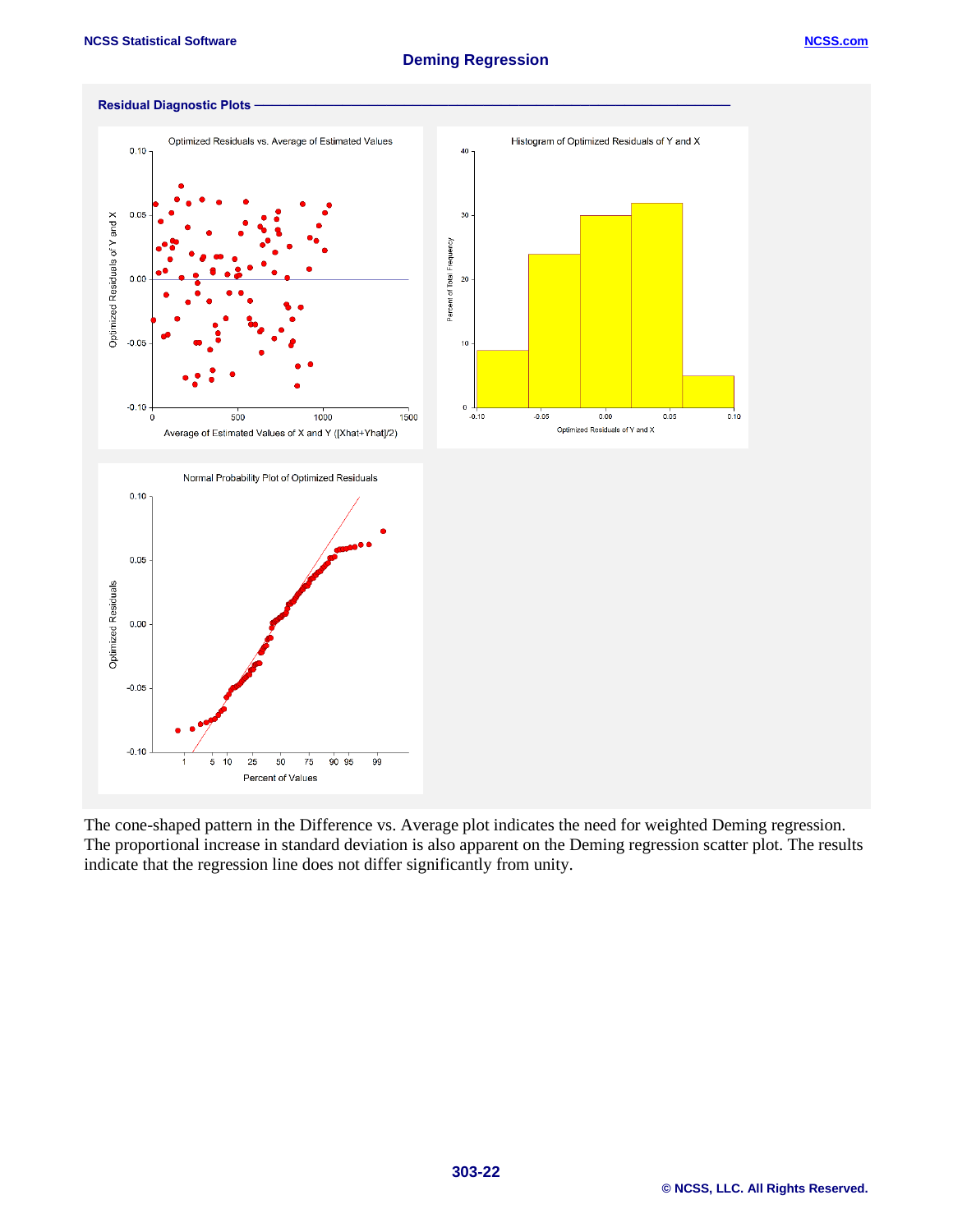

The cone-shaped pattern in the Difference vs. Average plot indicates the need for weighted Deming regression. The proportional increase in standard deviation is also apparent on the Deming regression scatter plot. The results indicate that the regression line does not differ significantly from unity.

#### **© NCSS, LLC. All Rights Reserved.**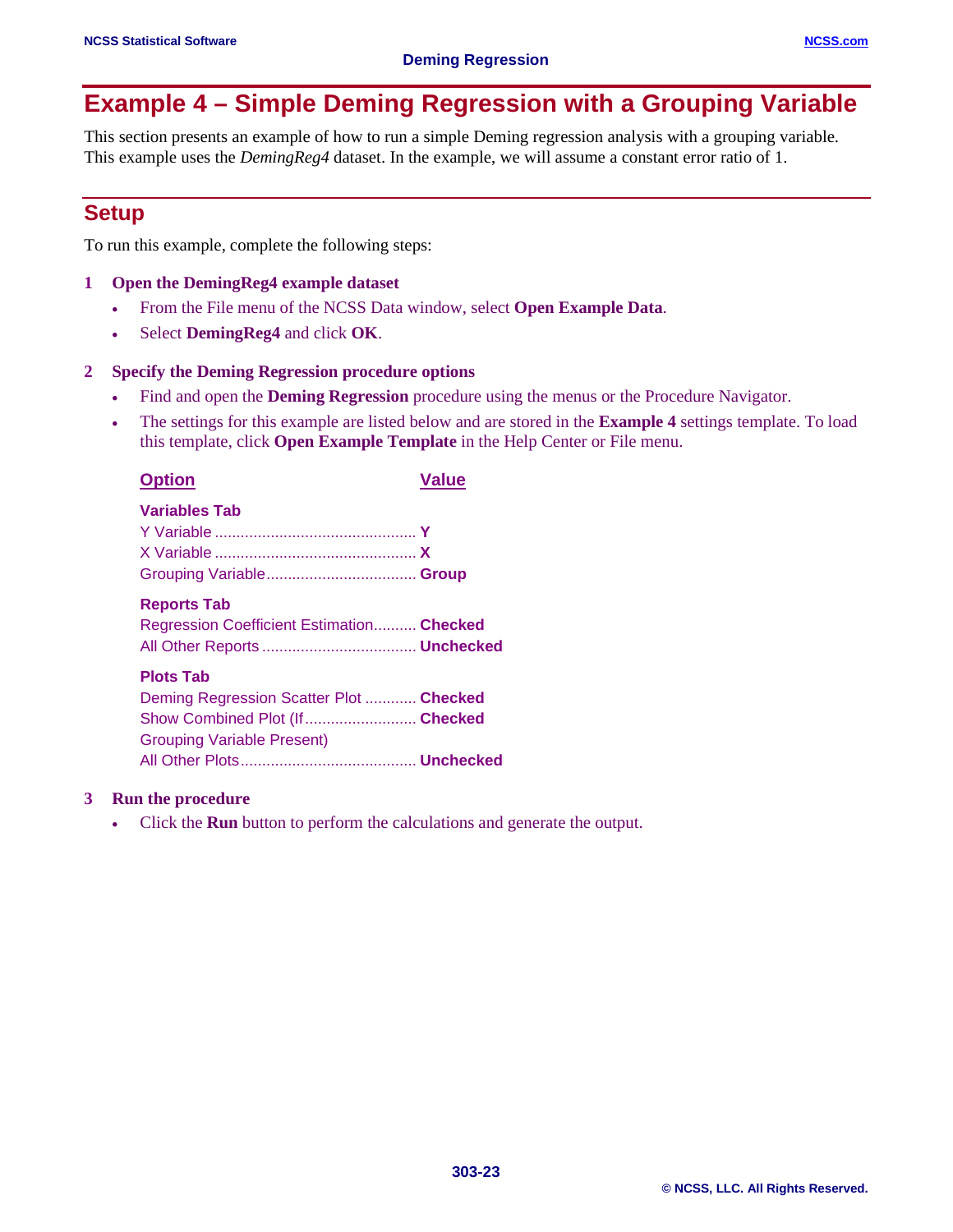# **Example 4 – Simple Deming Regression with a Grouping Variable**

This section presents an example of how to run a simple Deming regression analysis with a grouping variable. This example uses the *DemingReg4* dataset. In the example, we will assume a constant error ratio of 1.

## **Setup**

To run this example, complete the following steps:

#### **1 Open the DemingReg4 example dataset**

- From the File menu of the NCSS Data window, select **Open Example Data**.
- Select **DemingReg4** and click **OK**.

#### **2 Specify the Deming Regression procedure options**

- Find and open the **Deming Regression** procedure using the menus or the Procedure Navigator.
- The settings for this example are listed below and are stored in the **Example 4** settings template. To load this template, click **Open Example Template** in the Help Center or File menu.

| <b>Option</b>                                                                                                                      | <b>Value</b> |
|------------------------------------------------------------------------------------------------------------------------------------|--------------|
| <b>Variables Tab</b>                                                                                                               |              |
| <b>Reports Tab</b><br>Regression Coefficient Estimation Checked                                                                    |              |
| <b>Plots Tab</b><br>Deming Regression Scatter Plot  Checked<br>Show Combined Plot (If Checked<br><b>Grouping Variable Present)</b> |              |
|                                                                                                                                    |              |

#### **3 Run the procedure**

• Click the **Run** button to perform the calculations and generate the output.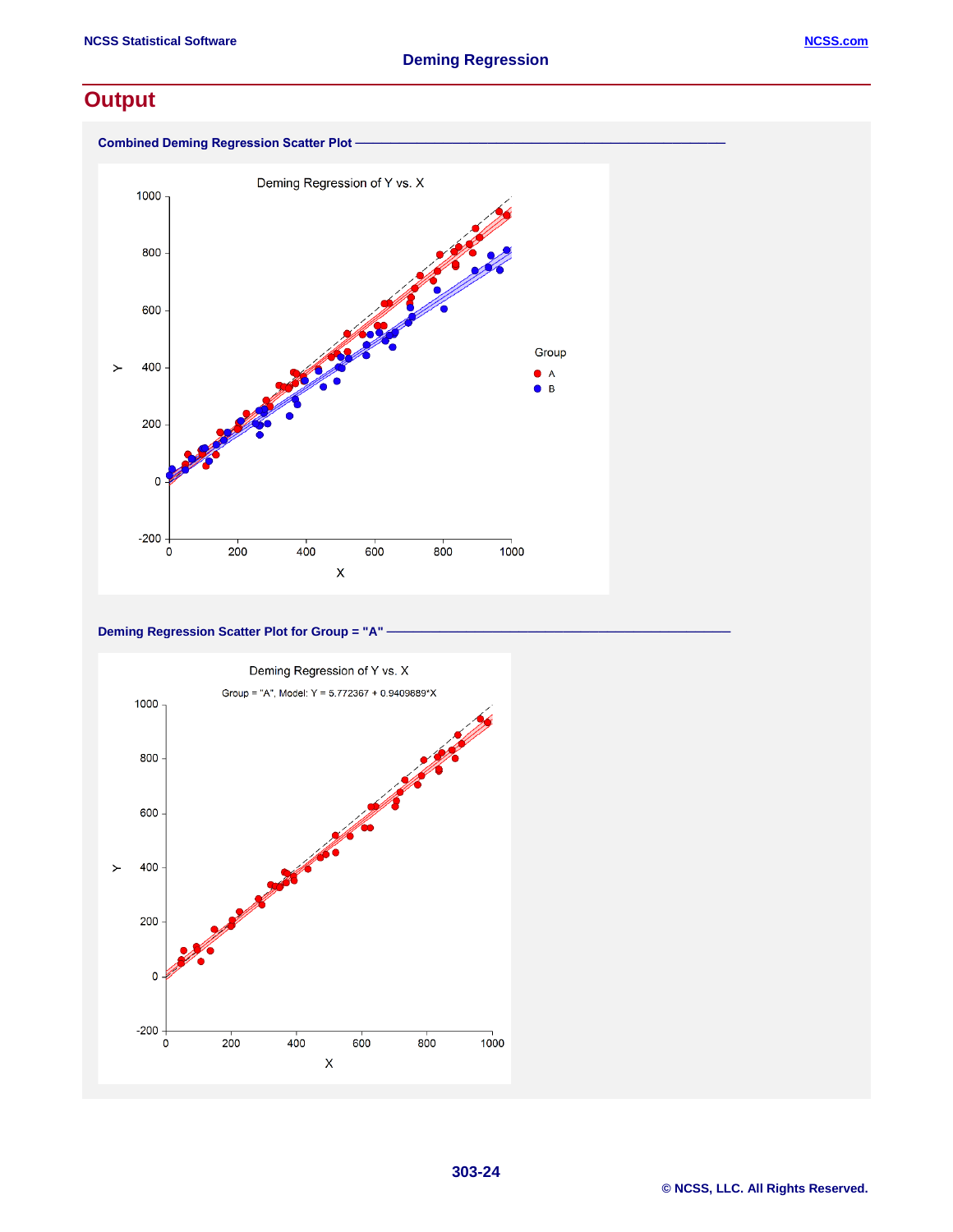## **Output**



**Deming Regression Scatter Plot for Group = "A" -**

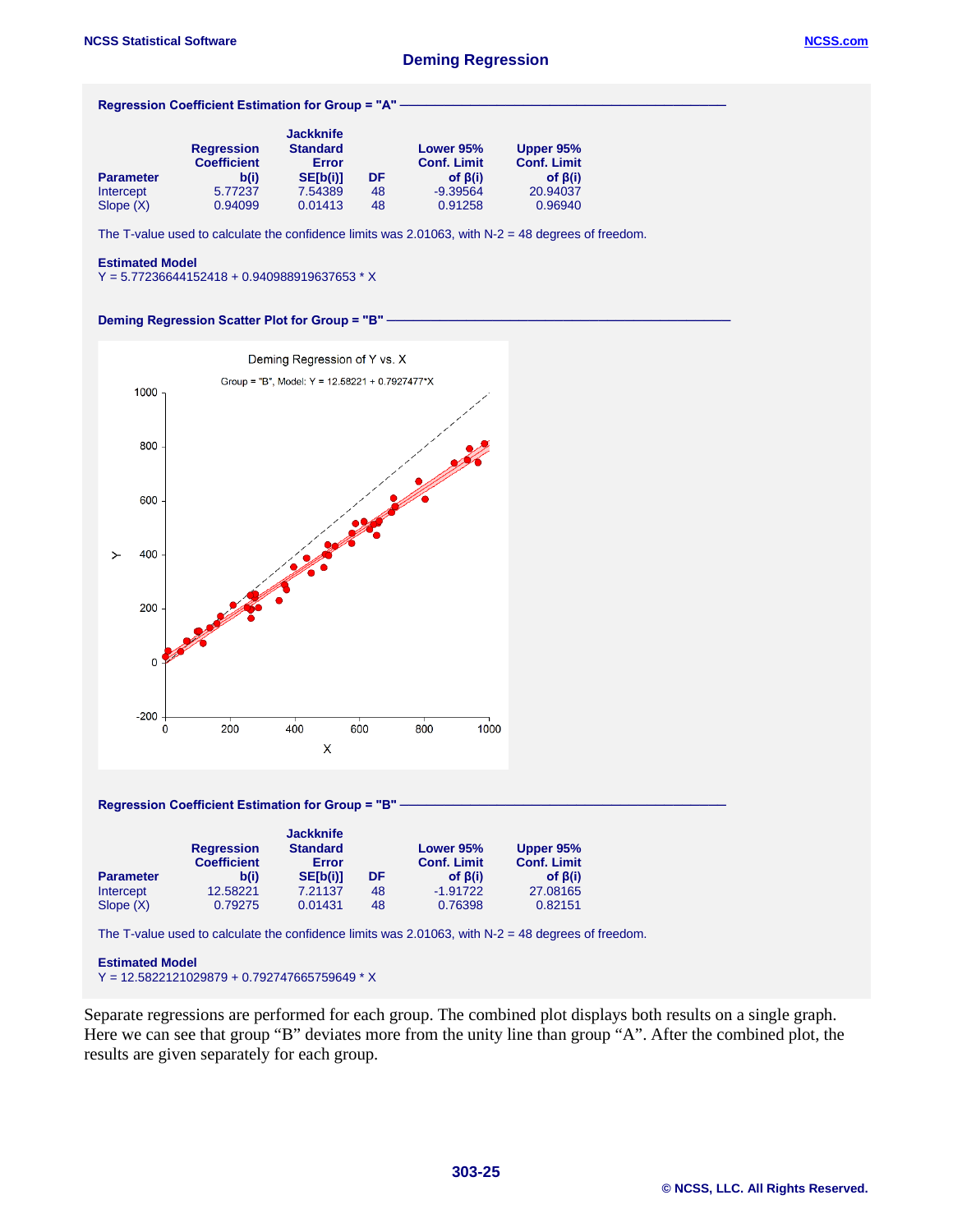|                  | <b>Regression</b>  | <b>Jackknife</b><br><b>Standard</b> |    | Lower 95%          | Upper 95%          |
|------------------|--------------------|-------------------------------------|----|--------------------|--------------------|
|                  | <b>Coefficient</b> | Error                               |    | <b>Conf. Limit</b> | <b>Conf. Limit</b> |
| <b>Parameter</b> | b(i)               | SE[b(i)]                            | DF | of $\beta(i)$      | of $\beta(i)$      |
| Intercept        | 5.77237            | 7.54389                             | 48 | $-9.39564$         | 20.94037           |
| Slope(X)         | 0.94099            | 0.01413                             | 48 | 0.91258            | 0.96940            |

#### **Estimated Model**

Y = 5.77236644152418 + 0.940988919637653 \* X





The T-value used to calculate the confidence limits was 2.01063, with N-2 = 48 degrees of freedom.

**Estimated Model** Y = 12.5822121029879 + 0.792747665759649 \* X

Separate regressions are performed for each group. The combined plot displays both results on a single graph. Here we can see that group "B" deviates more from the unity line than group "A". After the combined plot, the results are given separately for each group.

0.76398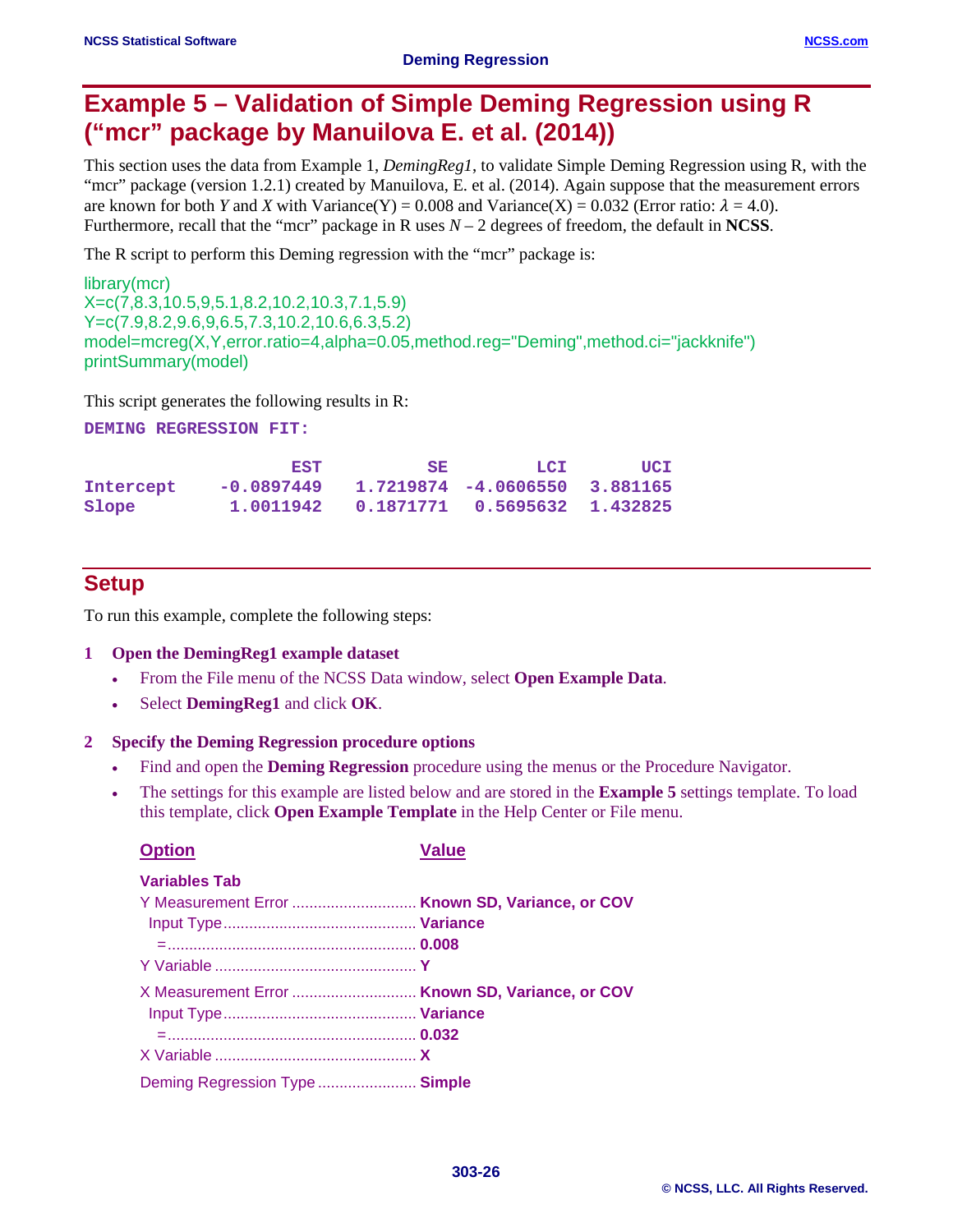## **Example 5 – Validation of Simple Deming Regression using R ("mcr" package by Manuilova E. et al. (2014))**

This section uses the data from Example 1, *DemingReg1*, to validate Simple Deming Regression using R, with the "mcr" package (version 1.2.1) created by Manuilova, E. et al. (2014). Again suppose that the measurement errors are known for both *Y* and *X* with Variance(Y) = 0.008 and Variance(X) = 0.032 (Error ratio:  $\lambda$  = 4.0). Furthermore, recall that the "mcr" package in R uses *N* – 2 degrees of freedom, the default in **NCSS**.

The R script to perform this Deming regression with the "mcr" package is:

library(mcr) X=c(7,8.3,10.5,9,5.1,8.2,10.2,10.3,7.1,5.9) Y=c(7.9,8.2,9.6,9,6.5,7.3,10.2,10.6,6.3,5.2) model=mcreg(X,Y,error.ratio=4,alpha=0.05,method.reg="Deming",method.ci="jackknife") printSummary(model)

This script generates the following results in R:

**DEMING REGRESSION FIT:**

|           | <b>EST</b>   | SE.                                       | LCI                              | UCI |
|-----------|--------------|-------------------------------------------|----------------------------------|-----|
| Intercept | $-0.0897449$ |                                           | $1.7219874 - 4.0606550$ 3.881165 |     |
| Slope     |              | 1.0011942  0.1871771  0.5695632  1.432825 |                                  |     |

## **Setup**

To run this example, complete the following steps:

#### **1 Open the DemingReg1 example dataset**

- From the File menu of the NCSS Data window, select **Open Example Data**.
- Select **DemingReg1** and click **OK**.

#### **2 Specify the Deming Regression procedure options**

- Find and open the **Deming Regression** procedure using the menus or the Procedure Navigator.
- The settings for this example are listed below and are stored in the **Example 5** settings template. To load this template, click **Open Example Template** in the Help Center or File menu.

| <b>Option</b>                                   | Value |
|-------------------------------------------------|-------|
| <b>Variables Tab</b>                            |       |
|                                                 |       |
|                                                 |       |
|                                                 |       |
|                                                 |       |
| X Measurement Error  Known SD, Variance, or COV |       |
|                                                 |       |
|                                                 |       |
|                                                 |       |
| Deming Regression Type  Simple                  |       |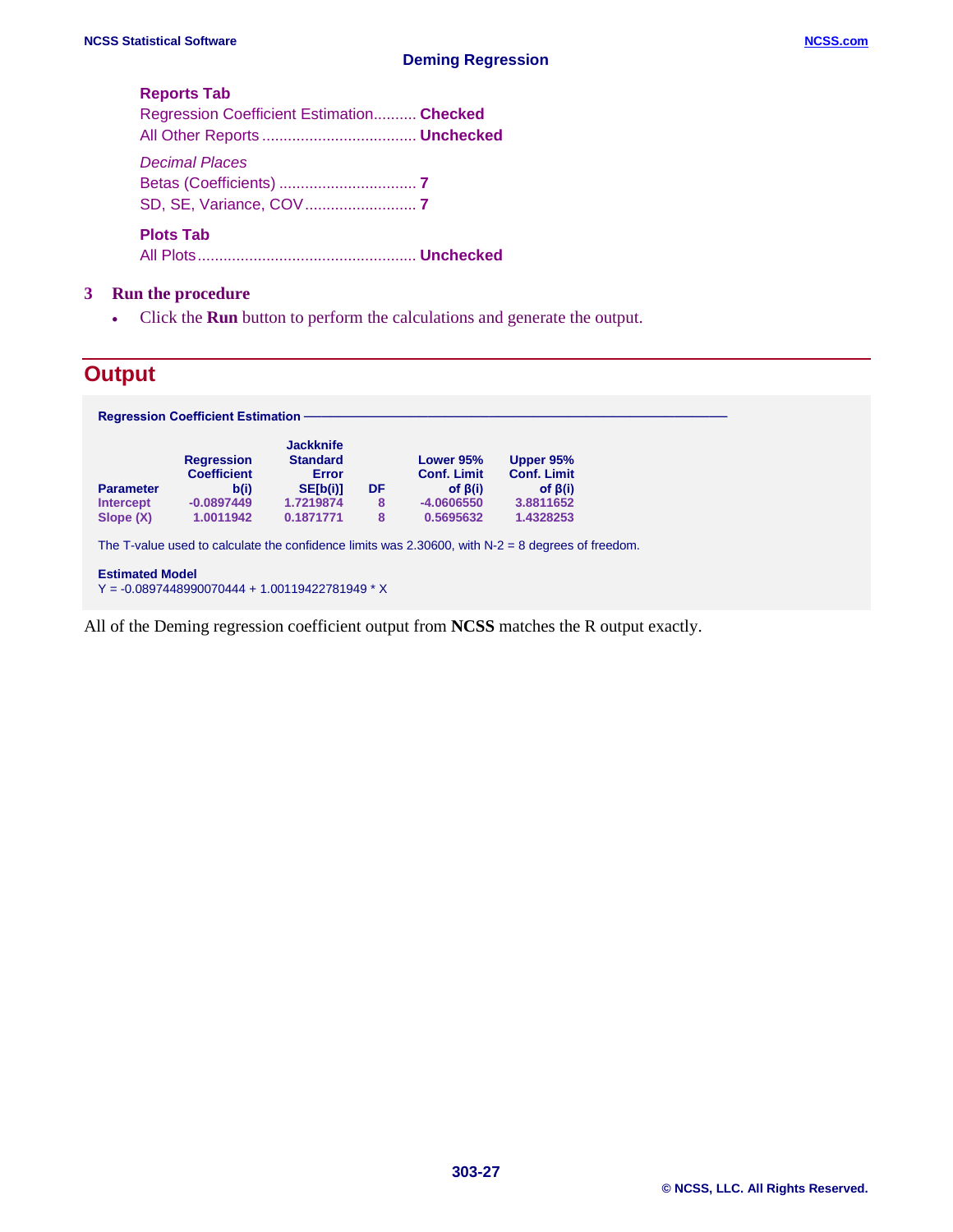#### **Reports Tab**

| Regression Coefficient Estimation Checked |  |
|-------------------------------------------|--|
|                                           |  |
|                                           |  |
|                                           |  |

All Plots................................................... **Unchecked**

#### **3 Run the procedure**

• Click the **Run** button to perform the calculations and generate the output.

## **Output**

All of the Deming regression coefficient output from **NCSS** matches the R output exactly.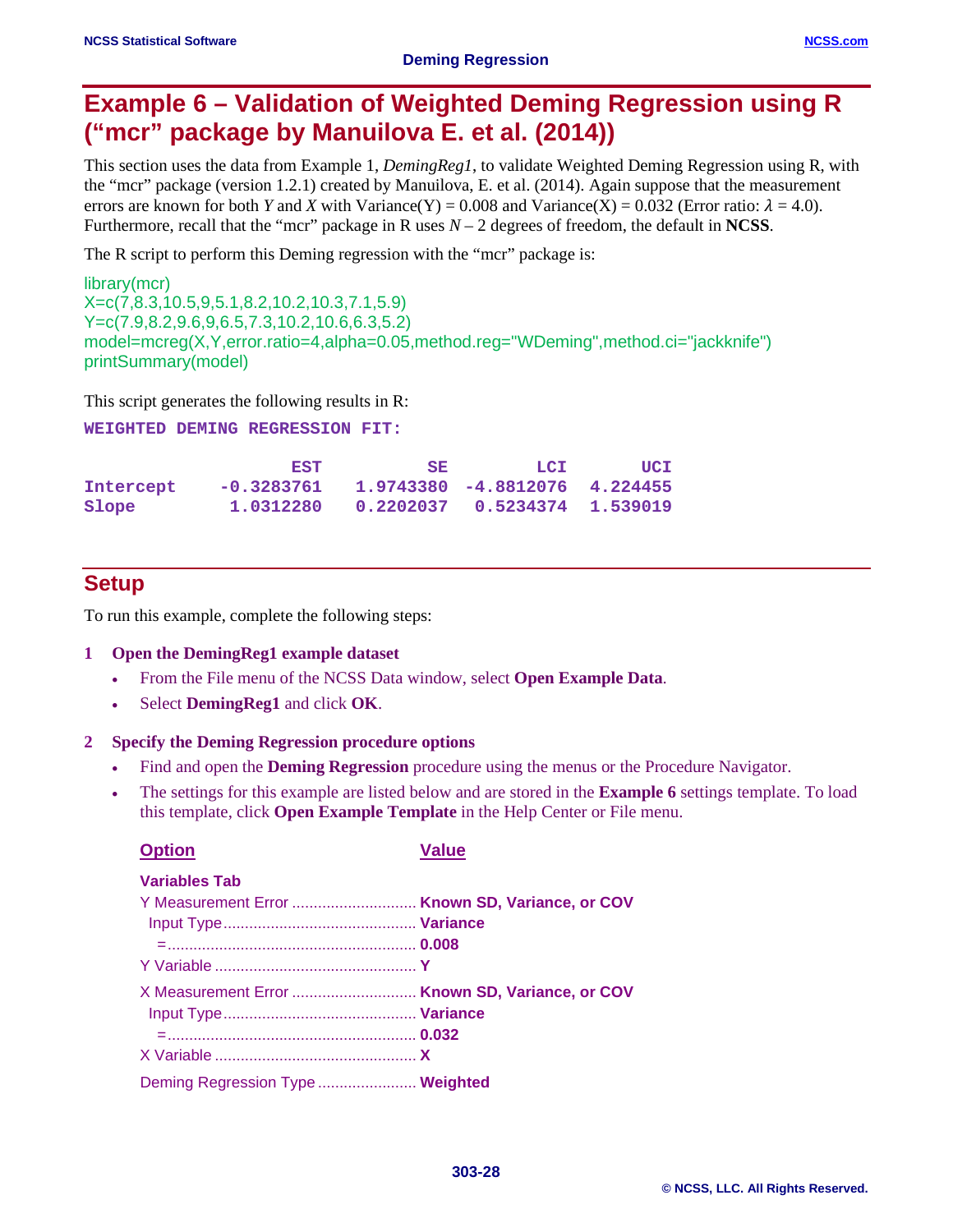# **Example 6 – Validation of Weighted Deming Regression using R ("mcr" package by Manuilova E. et al. (2014))**

This section uses the data from Example 1, *DemingReg1*, to validate Weighted Deming Regression using R, with the "mcr" package (version 1.2.1) created by Manuilova, E. et al. (2014). Again suppose that the measurement errors are known for both *Y* and *X* with Variance(Y) = 0.008 and Variance(X) = 0.032 (Error ratio:  $\lambda$  = 4.0). Furthermore, recall that the "mcr" package in R uses *N* – 2 degrees of freedom, the default in **NCSS**.

The R script to perform this Deming regression with the "mcr" package is:

library(mcr) X=c(7,8.3,10.5,9,5.1,8.2,10.2,10.3,7.1,5.9) Y=c(7.9,8.2,9.6,9,6.5,7.3,10.2,10.6,6.3,5.2) model=mcreg(X,Y,error.ratio=4,alpha=0.05,method.reg="WDeming",method.ci="jackknife") printSummary(model)

This script generates the following results in R:

**WEIGHTED DEMING REGRESSION FIT:**

|           | EST        | SE.                                       | LCI                           | UCI |
|-----------|------------|-------------------------------------------|-------------------------------|-----|
| Intercept | -0.3283761 |                                           | 1.9743380 -4.8812076 4.224455 |     |
| Slope     |            | 1.0312280  0.2202037  0.5234374  1.539019 |                               |     |

## **Setup**

To run this example, complete the following steps:

#### **1 Open the DemingReg1 example dataset**

- From the File menu of the NCSS Data window, select **Open Example Data**.
- Select **DemingReg1** and click **OK**.

#### **2 Specify the Deming Regression procedure options**

- Find and open the **Deming Regression** procedure using the menus or the Procedure Navigator.
- The settings for this example are listed below and are stored in the **Example 6** settings template. To load this template, click **Open Example Template** in the Help Center or File menu.

| <b>Option</b>                                   | Value |
|-------------------------------------------------|-------|
| <b>Variables Tab</b>                            |       |
|                                                 |       |
|                                                 |       |
|                                                 |       |
|                                                 |       |
| X Measurement Error  Known SD, Variance, or COV |       |
|                                                 |       |
|                                                 |       |
|                                                 |       |
| Deming Regression Type  Weighted                |       |